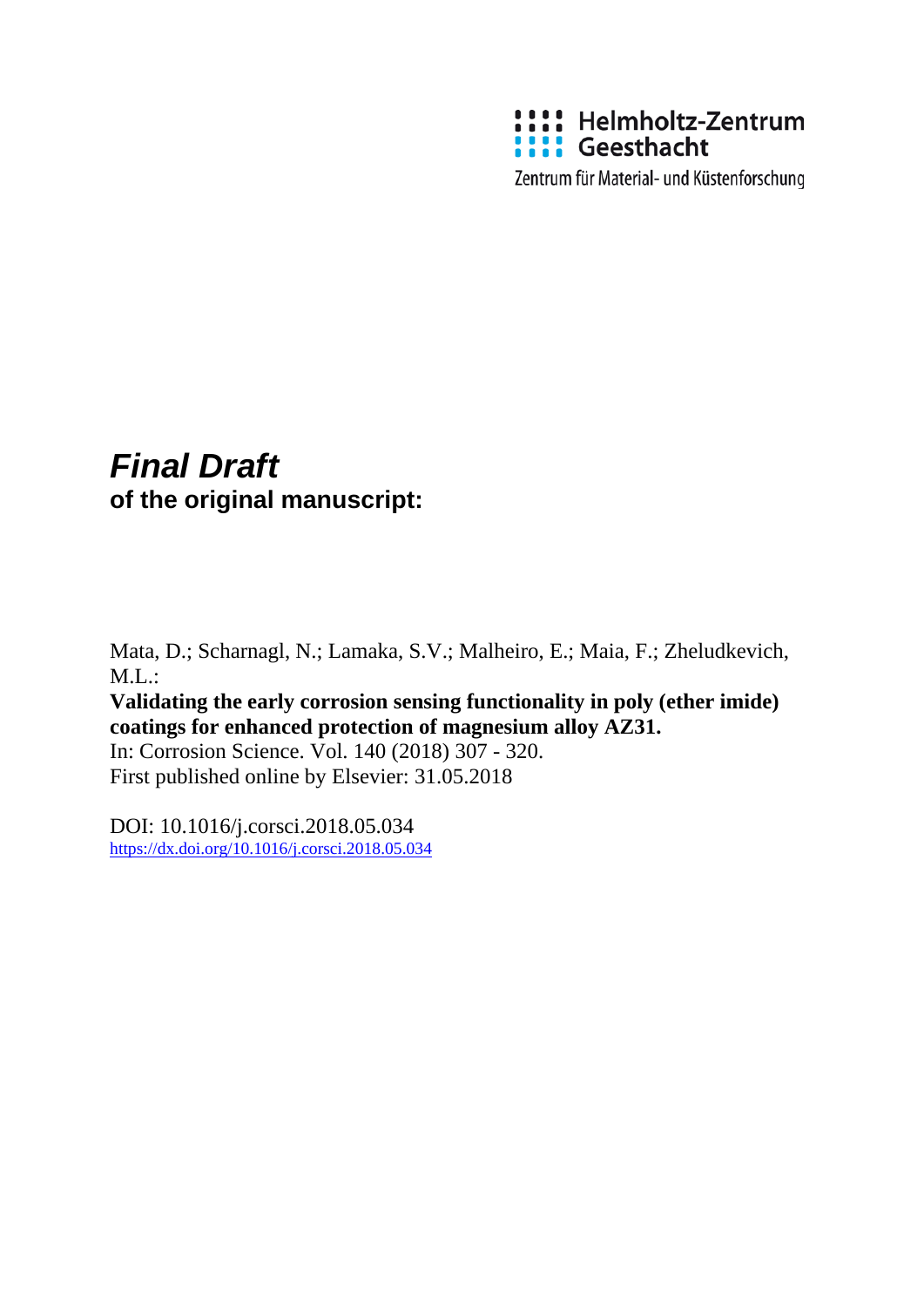

Zentrum für Material- und Küstenforschung

## *Final Draft*  **of the original manuscript:**

Mata, D.; Scharnagl, N.; Lamaka, S.V.; Malheiro, E.; Maia, F.; Zheludkevich,  $M.L.:$ 

**Validating the early corrosion sensing functionality in poly (ether imide) coatings for enhanced protection of magnesium alloy AZ31.** 

In: Corrosion Science. Vol. 140 (2018) 307 - 320. First published online by Elsevier: 31.05.2018

DOI: 10.1016/j.corsci.2018.05.034 <https://dx.doi.org/10.1016/j.corsci.2018.05.034>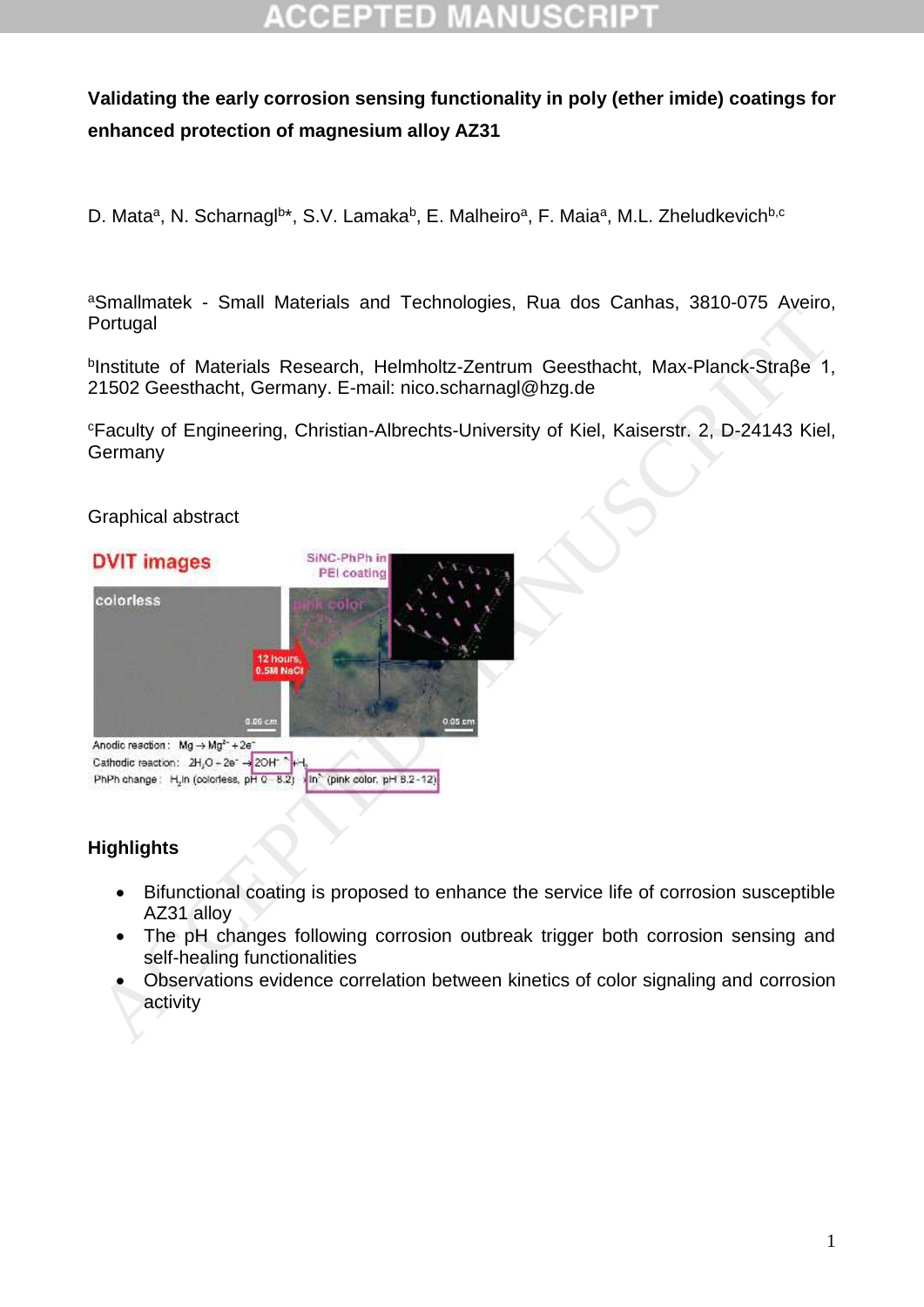# CCEPTED

#### **Validating the early corrosion sensing functionality in poly (ether imide) coatings for enhanced protection of magnesium alloy AZ31**

D. Mata<sup>a</sup>, N. Scharnagl<sup>b\*</sup>, S.V. Lamaka<sup>b</sup>, E. Malheiro<sup>a</sup>, F. Maia<sup>a</sup>, M.L. Zheludkevich<sup>b,c</sup>

aSmallmatek - Small Materials and Technologies, Rua dos Canhas, 3810-075 Aveiro, Portugal

b Institute of Materials Research, Helmholtz-Zentrum Geesthacht, Max-Planck-Straβe 1, 21502 Geesthacht, Germany. E-mail: nico.scharnagl@hzg.de

<sup>c</sup>Faculty of Engineering, Christian-Albrechts-University of Kiel, Kaiserstr. 2, D-24143 Kiel, Germany

#### Graphical abstract



#### **Highlights**

- Bifunctional coating is proposed to enhance the service life of corrosion susceptible AZ31 alloy
- The pH changes following corrosion outbreak trigger both corrosion sensing and self-healing functionalities
- Observations evidence correlation between kinetics of color signaling and corrosion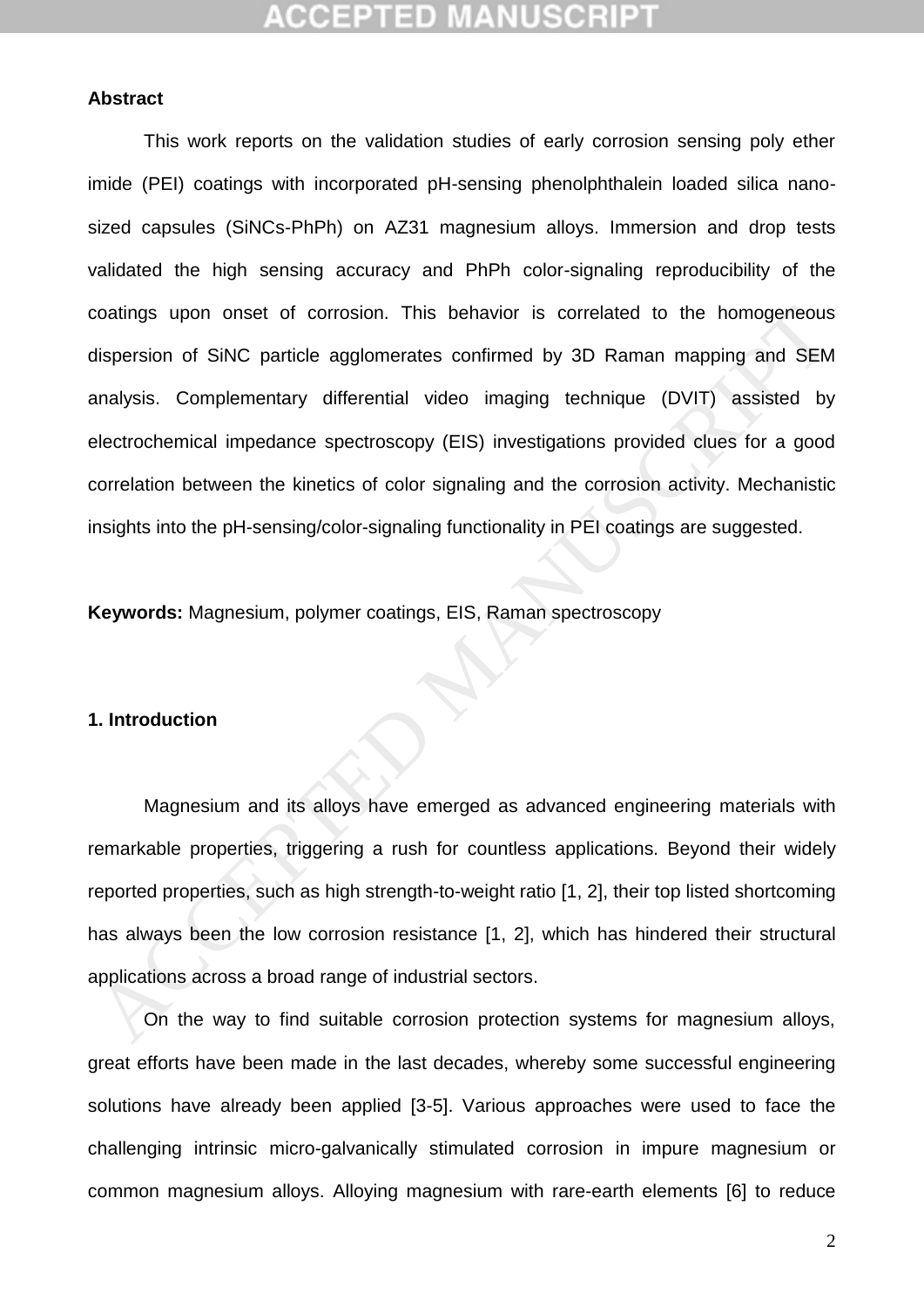## CCEPTED MA

#### **Abstract**

This work reports on the validation studies of early corrosion sensing poly ether imide (PEI) coatings with incorporated pH-sensing phenolphthalein loaded silica nanosized capsules (SiNCs-PhPh) on AZ31 magnesium alloys. Immersion and drop tests validated the high sensing accuracy and PhPh color-signaling reproducibility of the coatings upon onset of corrosion. This behavior is correlated to the homogeneous dispersion of SiNC particle agglomerates confirmed by 3D Raman mapping and SEM analysis. Complementary differential video imaging technique (DVIT) assisted by electrochemical impedance spectroscopy (EIS) investigations provided clues for a good correlation between the kinetics of color signaling and the corrosion activity. Mechanistic insights into the pH-sensing/color-signaling functionality in PEI coatings are suggested. coatings upon onset of corrosion. This behavior is correlated to the homogeneous<br>
dispersion of SiNC particle agglomerates confirmed by 3D Raman mapping and SEM<br>
analysis. Complementary differential video imaging technique

**Keywords:** Magnesium, polymer coatings, EIS, Raman spectroscopy

#### **1. Introduction**

Magnesium and its alloys have emerged as advanced engineering materials with remarkable properties, triggering a rush for countless applications. Beyond their widely reported properties, such as high strength-to-weight ratio [1, 2], their top listed shortcoming has always been the low corrosion resistance [1, 2], which has hindered their structural applications across a broad range of industrial sectors.

On the way to find suitable corrosion protection systems for magnesium alloys, great efforts have been made in the last decades, whereby some successful engineering solutions have already been applied [\[3-5\]](#page-24-2). Various approaches were used to face the challenging intrinsic micro-galvanically stimulated corrosion in impure magnesium or common magnesium alloys. Alloying magnesium with rare-earth elements [\[6\]](#page-25-0) to reduce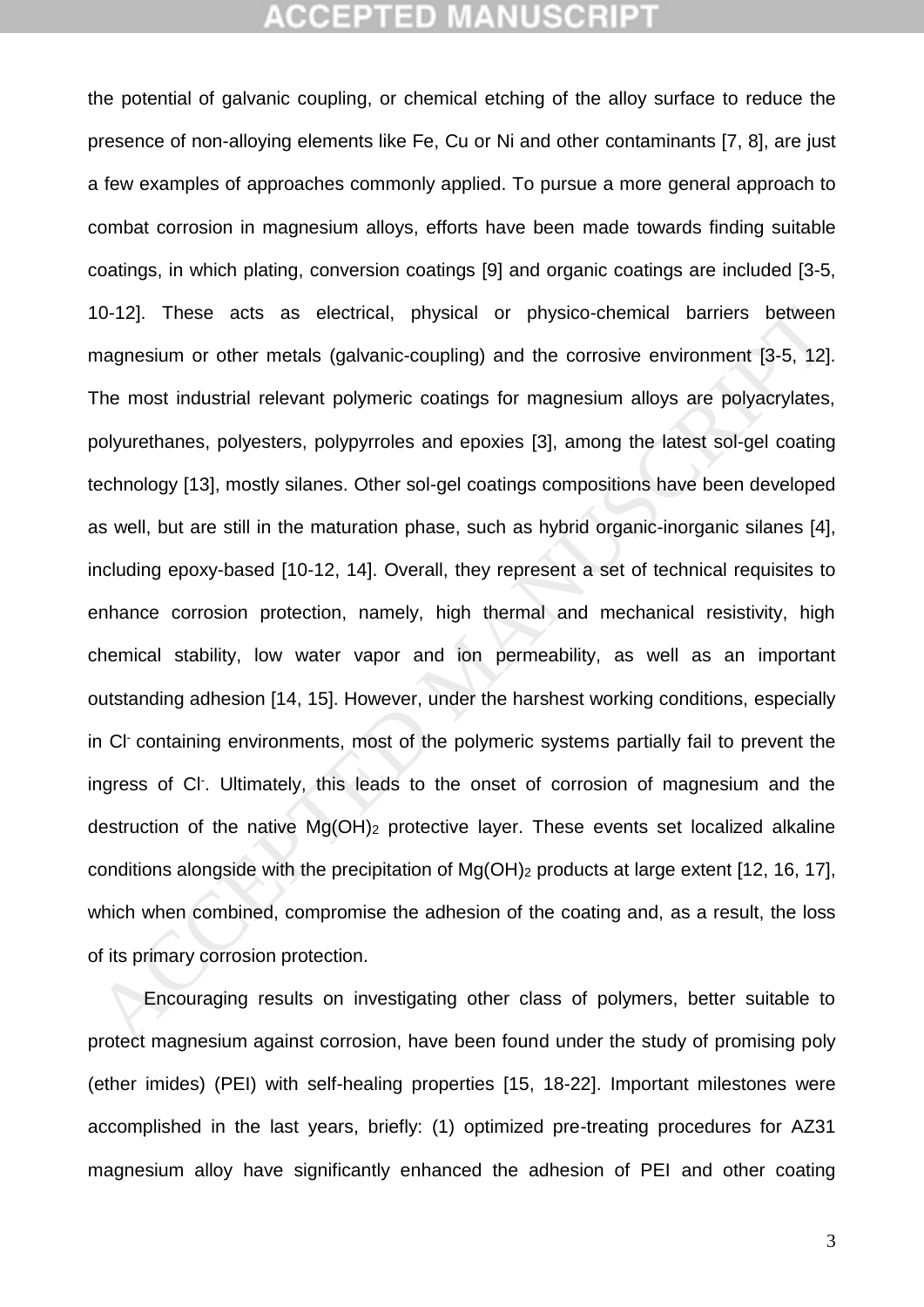the potential of galvanic coupling, or chemical etching of the alloy surface to reduce the presence of non-alloying elements like Fe, Cu or Ni and other contaminants [\[7,](#page-25-1) [8\]](#page-25-2), are just a few examples of approaches commonly applied. To pursue a more general approach to combat corrosion in magnesium alloys, efforts have been made towards finding suitable coatings, in which plating, conversion coatings [\[9\]](#page-25-3) and organic coatings are included [\[3-5,](#page-24-2) 10-12]. These acts as electrical, physical or physico-chemical barriers between magnesium or other metals (galvanic-coupling) and the corrosive environment [3-5, 12]. The most industrial relevant polymeric coatings for magnesium alloys are polyacrylates, polyurethanes, polyesters, polypyrroles and epoxies [3], among the latest sol-gel coating technology [13], mostly silanes. Other sol-gel coatings compositions have been developed as well, but are still in the maturation phase, such as hybrid organic-inorganic silanes [4], including epoxy-based [10-12, 14]. Overall, they represent a set of technical requisites to enhance corrosion protection, namely, high thermal and mechanical resistivity, high chemical stability, low water vapor and ion permeability, as well as an important outstanding adhesion [14, 15]. However, under the harshest working conditions, especially in Cl- containing environments, most of the polymeric systems partially fail to prevent the ingress of Cl- . Ultimately, this leads to the onset of corrosion of magnesium and the destruction of the native  $Mg(OH)_2$  protective layer. These events set localized alkaline conditions alongside with the precipitation of Mg(OH)<sup>2</sup> products at large extent [12, 16, 17], which when combined, compromise the adhesion of the coating and, as a result, the loss of its primary corrosion protection. 10-12]. These acts as electrical, physical or physico-chemical barriers between<br>magnesium or other metals (galvanic-coupling) and the corrosive environment [3-5, 12]<br>The most industrial relevant polymeric coatings for magn

Encouraging results on investigating other class of polymers, better suitable to protect magnesium against corrosion, have been found under the study of promising poly (ether imides) (PEI) with self-healing properties [\[15,](#page-25-8) [18-22\]](#page-26-1). Important milestones were accomplished in the last years, briefly: (1) optimized pre-treating procedures for AZ31 magnesium alloy have significantly enhanced the adhesion of PEI and other coating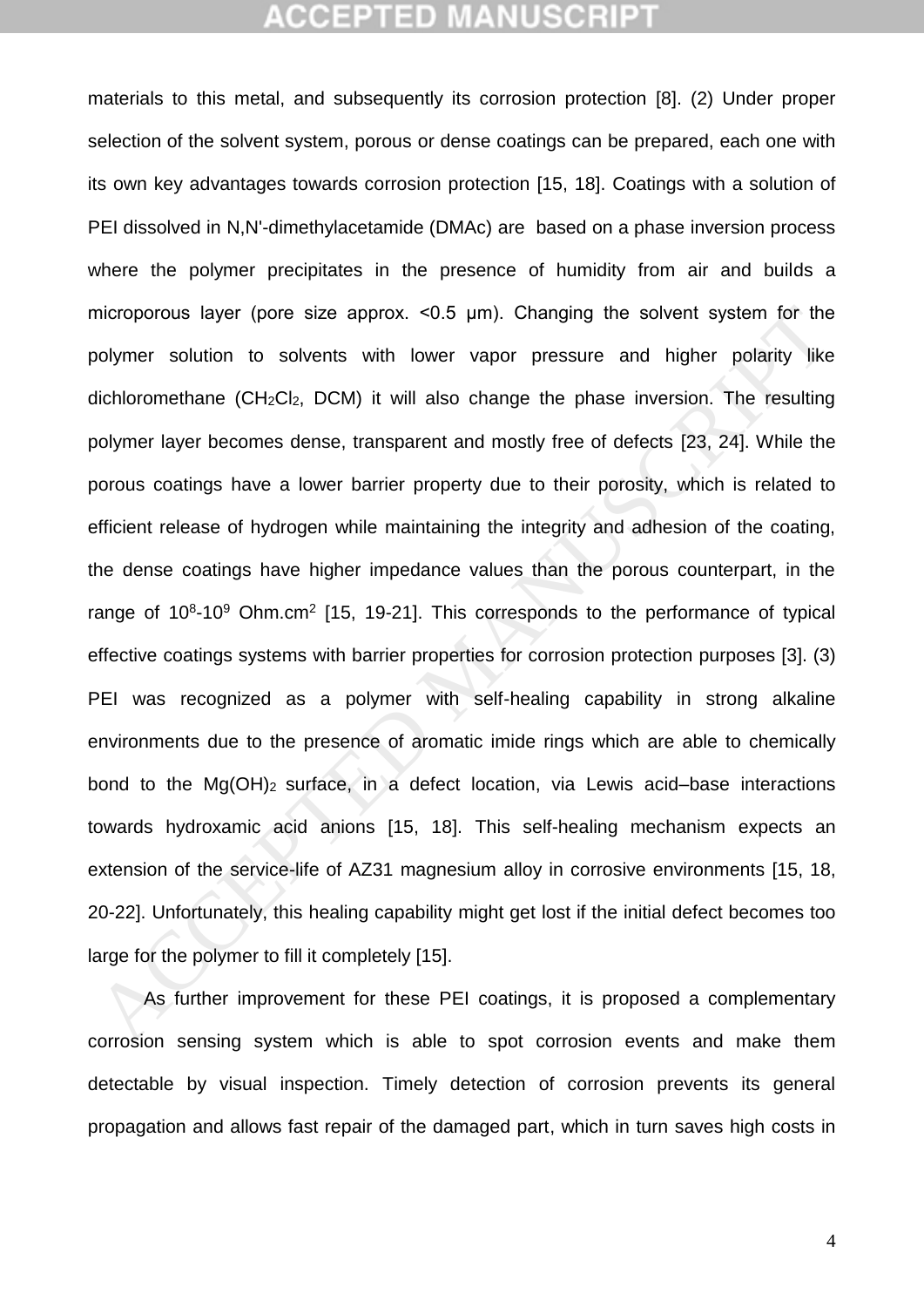materials to this metal, and subsequently its corrosion protection [\[8\]](#page-25-2). (2) Under proper selection of the solvent system, porous or dense coatings can be prepared, each one with its own key advantages towards corrosion protection [\[15,](#page-25-8) [18\]](#page-26-1). Coatings with a solution of PEI dissolved in N,N'-dimethylacetamide (DMAc) are based on a phase inversion process where the polymer precipitates in the presence of humidity from air and builds a microporous layer (pore size approx. <0.5 μm). Changing the solvent system for the polymer solution to solvents with lower vapor pressure and higher polarity like dichloromethane (CH2Cl2, DCM) it will also change the phase inversion. The resulting polymer layer becomes dense, transparent and mostly free of defects [23, 24]. While the porous coatings have a lower barrier property due to their porosity, which is related to efficient release of hydrogen while maintaining the integrity and adhesion of the coating, the dense coatings have higher impedance values than the porous counterpart, in the range of  $10<sup>8</sup>$ -10<sup>9</sup> Ohm.cm<sup>2</sup> [15, 19-21]. This corresponds to the performance of typical effective coatings systems with barrier properties for corrosion protection purposes [3]. (3) PEI was recognized as a polymer with self-healing capability in strong alkaline environments due to the presence of aromatic imide rings which are able to chemically bond to the Mg(OH)<sub>2</sub> surface, in a defect location, via Lewis acid–base interactions towards hydroxamic acid anions [15, 18]. This self-healing mechanism expects an extension of the service-life of AZ31 magnesium alloy in corrosive environments [15, 18, 20-22]. Unfortunately, this healing capability might get lost if the initial defect becomes too large for the polymer to fill it completely [15]. nicroporous layer (pore size approx. <0.5 µm). [C](#page-26-5)hanging the solvent system for the<br>olymer solution to solvents with lower vapor pressure and higher polarity like<br>dichloromethane (CH<sub>z</sub>Cl<sub>z</sub>, DC[M](#page-26-4)) it will also change the ph

As further improvement for these PEI coatings, it is proposed a complementary corrosion sensing system which is able to spot corrosion events and make them detectable by visual inspection. Timely detection of corrosion prevents its general propagation and allows fast repair of the damaged part, which in turn saves high costs in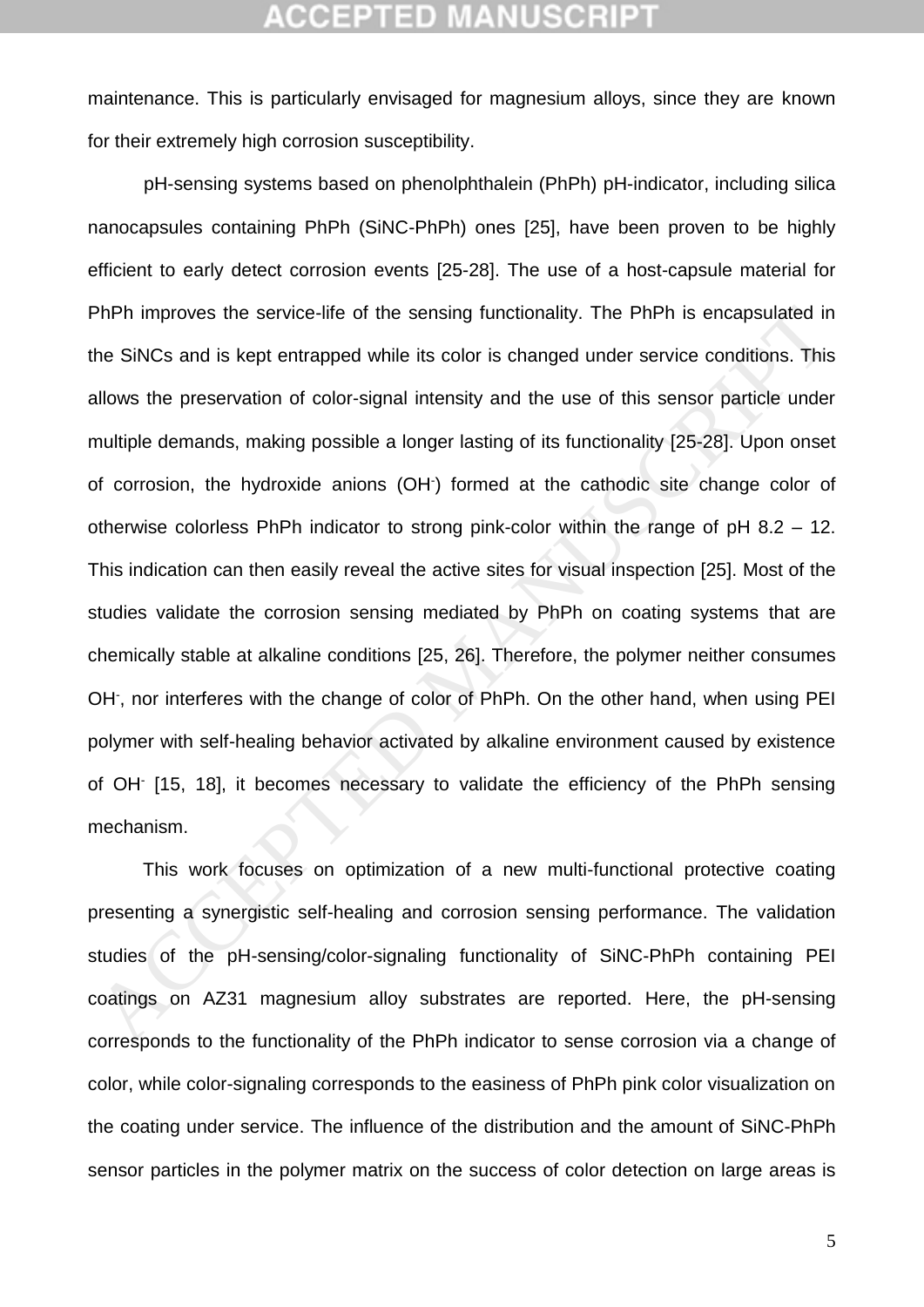maintenance. This is particularly envisaged for magnesium alloys, since they are known for their extremely high corrosion susceptibility.

pH-sensing systems based on phenolphthalein (PhPh) pH-indicator, including silica nanocapsules containing PhPh (SiNC-PhPh) ones [\[25\]](#page-26-6), have been proven to be highly efficient to early detect corrosion events [\[25-28\]](#page-26-6). The use of a host-capsule material for PhPh improves the service-life of the sensing functionality. The PhPh is encapsulated in the SiNCs and is kept entrapped while its color is changed under service conditions. This allows the preservation of color-signal intensity and the use of this sensor particle under multiple demands, making possible a longer lasting of its functionality [25-28]. Upon onset of corrosion, the hydroxide anions (OH- ) formed at the cathodic site change color of otherwise colorless PhPh indicator to strong pink-color within the range of pH 8.2 – 12. This indication can then easily reveal the active sites for visual inspection [25]. Most of the studies validate the corrosion sensing mediated by PhPh on coating systems that are chemically stable at alkaline conditions [25, 26]. Therefore, the polymer neither consumes OH, nor interferes with the change of color of PhPh. On the other hand, when using PEI polymer with self-healing behavior activated by alkaline environment caused by existence of OH<sup>-</sup> [15, 18], it becomes necessary to validate the efficiency of the PhPh sensing mechanism. PhPh improves the service-life of the sensing functionality. The PhPh is encapsulated in<br>the SiNCs and is kept entrapped while its color is changed under service conditions. This<br>allows the preservation of color-signal int

This work focuses on optimization of a new multi-functional protective coating presenting a synergistic self-healing and corrosion sensing performance. The validation studies of the pH-sensing/color-signaling functionality of SiNC-PhPh containing PEI coatings on AZ31 magnesium alloy substrates are reported. Here, the pH-sensing corresponds to the functionality of the PhPh indicator to sense corrosion via a change of color, while color-signaling corresponds to the easiness of PhPh pink color visualization on the coating under service. The influence of the distribution and the amount of SiNC-PhPh sensor particles in the polymer matrix on the success of color detection on large areas is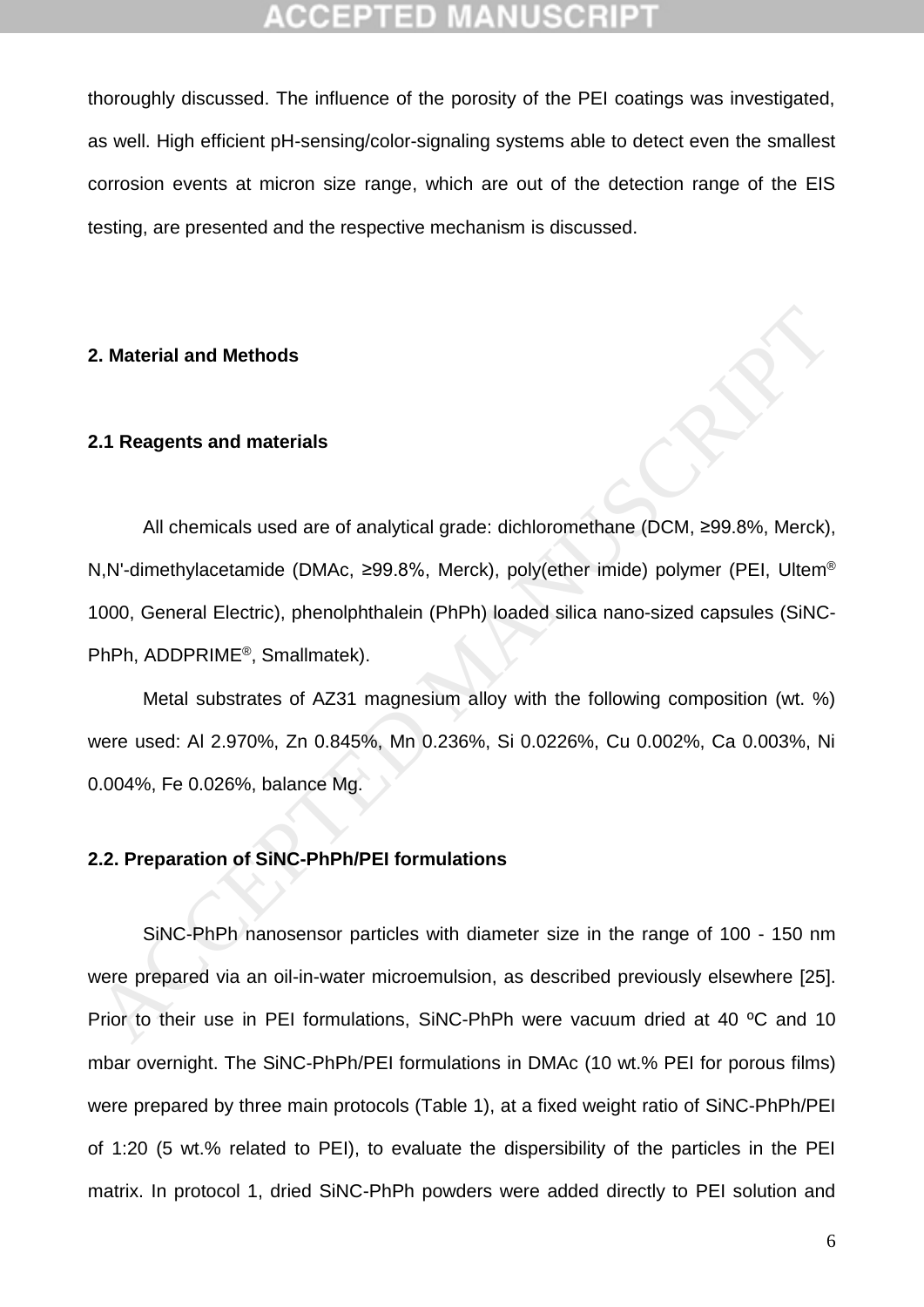thoroughly discussed. The influence of the porosity of the PEI coatings was investigated, as well. High efficient pH-sensing/color-signaling systems able to detect even the smallest corrosion events at micron size range, which are out of the detection range of the EIS testing, are presented and the respective mechanism is discussed.

#### **2. Material and Methods**

#### **2.1 Reagents and materials**

All chemicals used are of analytical grade: dichloromethane (DCM, ≥99.8%, Merck), N,N'-dimethylacetamide (DMAc, ≥99.8%, Merck), poly(ether imide) polymer (PEI, Ultem® 1000, General Electric), phenolphthalein (PhPh) loaded silica nano-sized capsules (SiNC-PhPh, ADDPRIME®, Smallmatek). **2.1 Reagents and materials**<br>
All chemicals used are of analytical grade: dichloromethane (DCM, 299.8%, Merck)<br>
AN -dimethylacetamide (DMAc, 299.8%, Merck), poly(ether imide) polymer (PEI, Ultem<sup>6</sup><br>
1000, General Electric)

Metal substrates of AZ31 magnesium alloy with the following composition (wt. %) were used: Al 2.970%, Zn 0.845%, Mn 0.236%, Si 0.0226%, Cu 0.002%, Ca 0.003%, Ni 0.004%, Fe 0.026%, balance Mg.

#### **2.2. Preparation of SiNC-PhPh/PEI formulations**

SiNC-PhPh nanosensor particles with diameter size in the range of 100 - 150 nm were prepared via an oil-in-water microemulsion, as described previously elsewhere [25]. Prior to their use in PEI formulations, SiNC-PhPh were vacuum dried at 40 ºC and 10 mbar overnight. The SiNC-PhPh/PEI formulations in DMAc (10 wt.% PEI for porous films) were prepared by three main protocols (Table 1), at a fixed weight ratio of SiNC-PhPh/PEI of 1:20 (5 wt.% related to PEI), to evaluate the dispersibility of the particles in the PEI matrix. In protocol 1, dried SiNC-PhPh powders were added directly to PEI solution and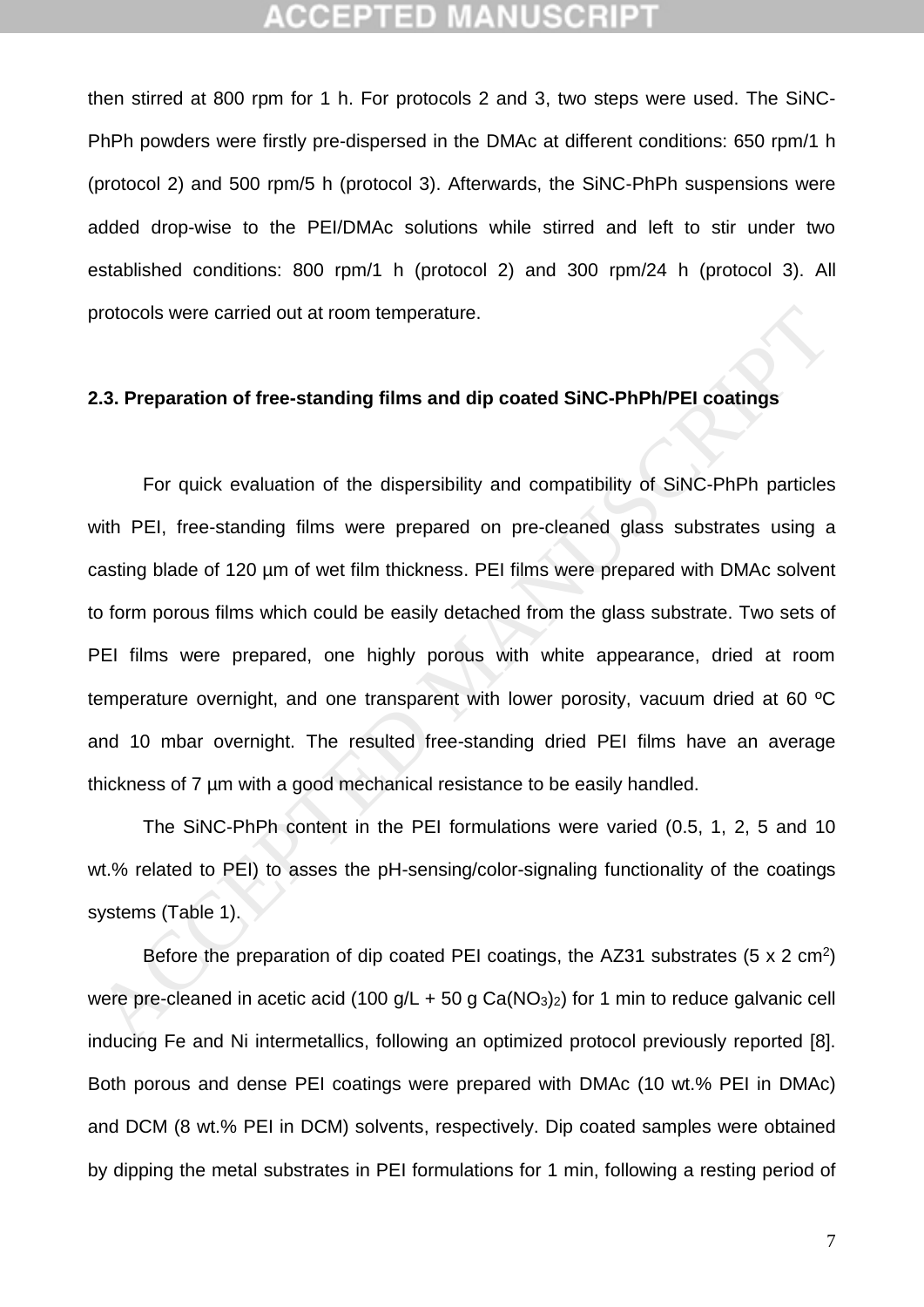### (CEPTED)

then stirred at 800 rpm for 1 h. For protocols 2 and 3, two steps were used. The SiNC-PhPh powders were firstly pre-dispersed in the DMAc at different conditions: 650 rpm/1 h (protocol 2) and 500 rpm/5 h (protocol 3). Afterwards, the SiNC-PhPh suspensions were added drop-wise to the PEI/DMAc solutions while stirred and left to stir under two established conditions: 800 rpm/1 h (protocol 2) and 300 rpm/24 h (protocol 3). All protocols were carried out at room temperature.

#### **2.3. Preparation of free-standing films and dip coated SiNC-PhPh/PEI coatings**

For quick evaluation of the dispersibility and compatibility of SiNC-PhPh particles with PEI, free-standing films were prepared on pre-cleaned glass substrates using a casting blade of 120 µm of wet film thickness. PEI films were prepared with DMAc solvent to form porous films which could be easily detached from the glass substrate. Two sets of PEI films were prepared, one highly porous with white appearance, dried at room temperature overnight, and one transparent with lower porosity, vacuum dried at 60 ºC and 10 mbar overnight. The resulted free-standing dried PEI films have an average thickness of 7 µm with a good mechanical resistance to be easily handled. 2.3. Preparation of free-standing films and dip coated SiNC-PhPh/PEI coatings<br>2.3. Preparation of free-standing films and dip coated SiNC-PhPh/PEI coatings<br><sup>with</sup> PEI, free-standing films were prepared on pre-cleaned glas

The SiNC-PhPh content in the PEI formulations were varied (0.5, 1, 2, 5 and 10 wt.% related to PEI) to asses the pH-sensing/color-signaling functionality of the coatings systems (Table 1).

Before the preparation of dip coated PEI coatings, the AZ31 substrates  $(5 \times 2 \text{ cm}^2)$ were pre-cleaned in acetic acid (100  $q/L + 50 q Ca(NO<sub>3</sub>)<sub>2</sub>$ ) for 1 min to reduce galvanic cell inducing Fe and Ni intermetallics, following an optimized protocol previously reported [\[8\]](#page-25-2). Both porous and dense PEI coatings were prepared with DMAc (10 wt.% PEI in DMAc) and DCM (8 wt.% PEI in DCM) solvents, respectively. Dip coated samples were obtained by dipping the metal substrates in PEI formulations for 1 min, following a resting period of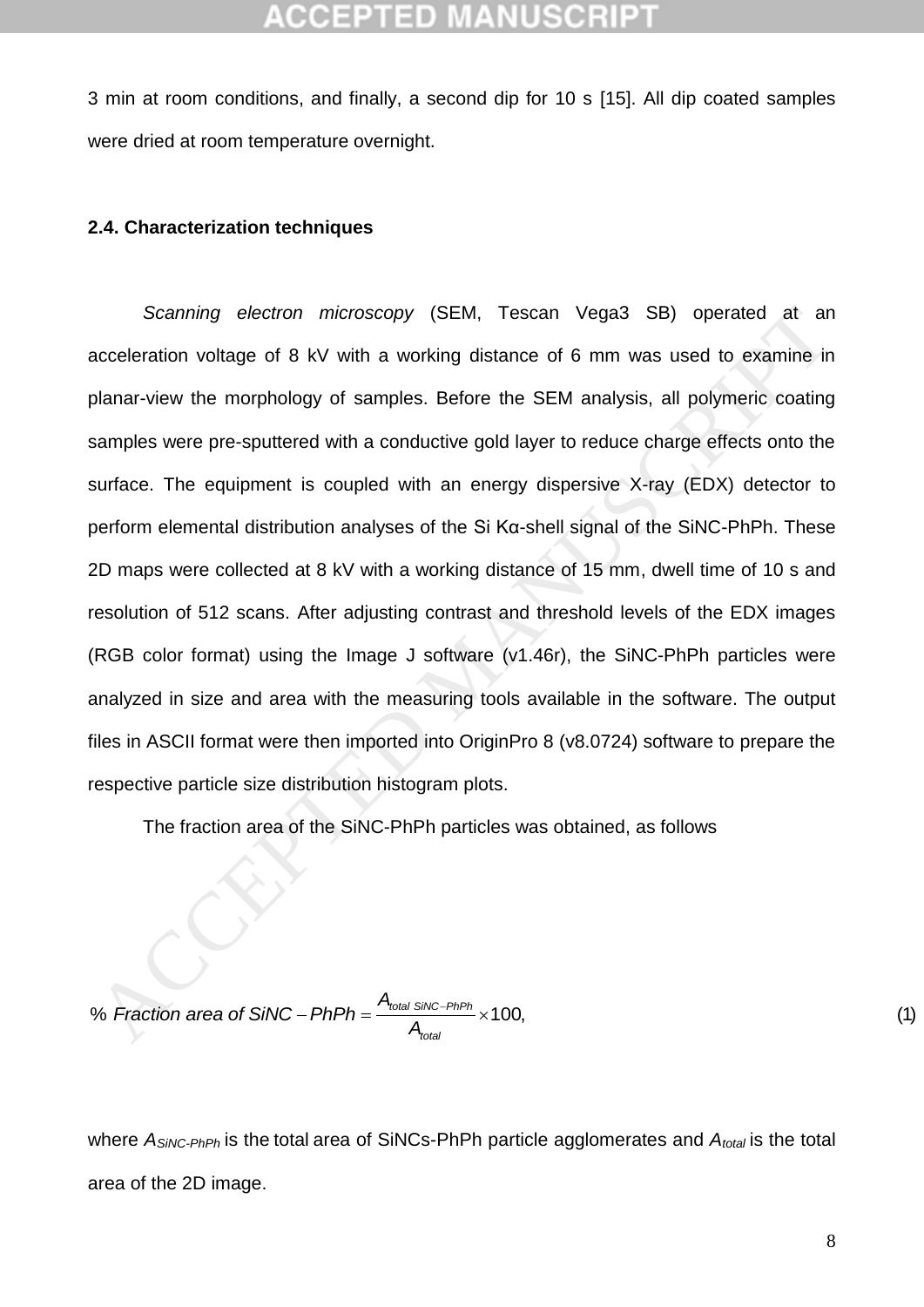### CGEPTED

3 min at room conditions, and finally, a second dip for 10 s [\[15\]](#page-25-8). All dip coated samples were dried at room temperature overnight.

#### **2.4. Characterization techniques**

*Scanning electron microscopy* (SEM, Tescan Vega3 SB) operated at an acceleration voltage of 8 kV with a working distance of 6 mm was used to examine in planar-view the morphology of samples. Before the SEM analysis, all polymeric coating samples were pre-sputtered with a conductive gold layer to reduce charge effects onto the surface. The equipment is coupled with an energy dispersive X-ray (EDX) detector to perform elemental distribution analyses of the Si Kα-shell signal of the SiNC-PhPh. These 2D maps were collected at 8 kV with a working distance of 15 mm, dwell time of 10 s and resolution of 512 scans. After adjusting contrast and threshold levels of the EDX images (RGB color format) using the Image J software (v1.46r), the SiNC-PhPh particles were analyzed in size and area with the measuring tools available in the software. The output files in ASCII format were then imported into OriginPro 8 (v8.0724) software to prepare the respective particle size distribution histogram plots. Scanning electron microscopy (SEM, Tescan Vega3 SB) operated at an coceleration voltage of 8 kV with a working distance of 6 mm was used to examine in blanar-view the morphology of samples. Before the SEM analysis, all po

The fraction area of the SiNC-PhPh particles was obtained, as follows

% Fraction area of SiNC – PhPh = 
$$
\frac{A_{\text{total SiNC}-PhPh}}{A_{\text{total}}} \times 100,
$$
 (1)

where *ASiNC-PhPh* is the total area of SiNCs-PhPh particle agglomerates and *Atotal* is the total area of the 2D image.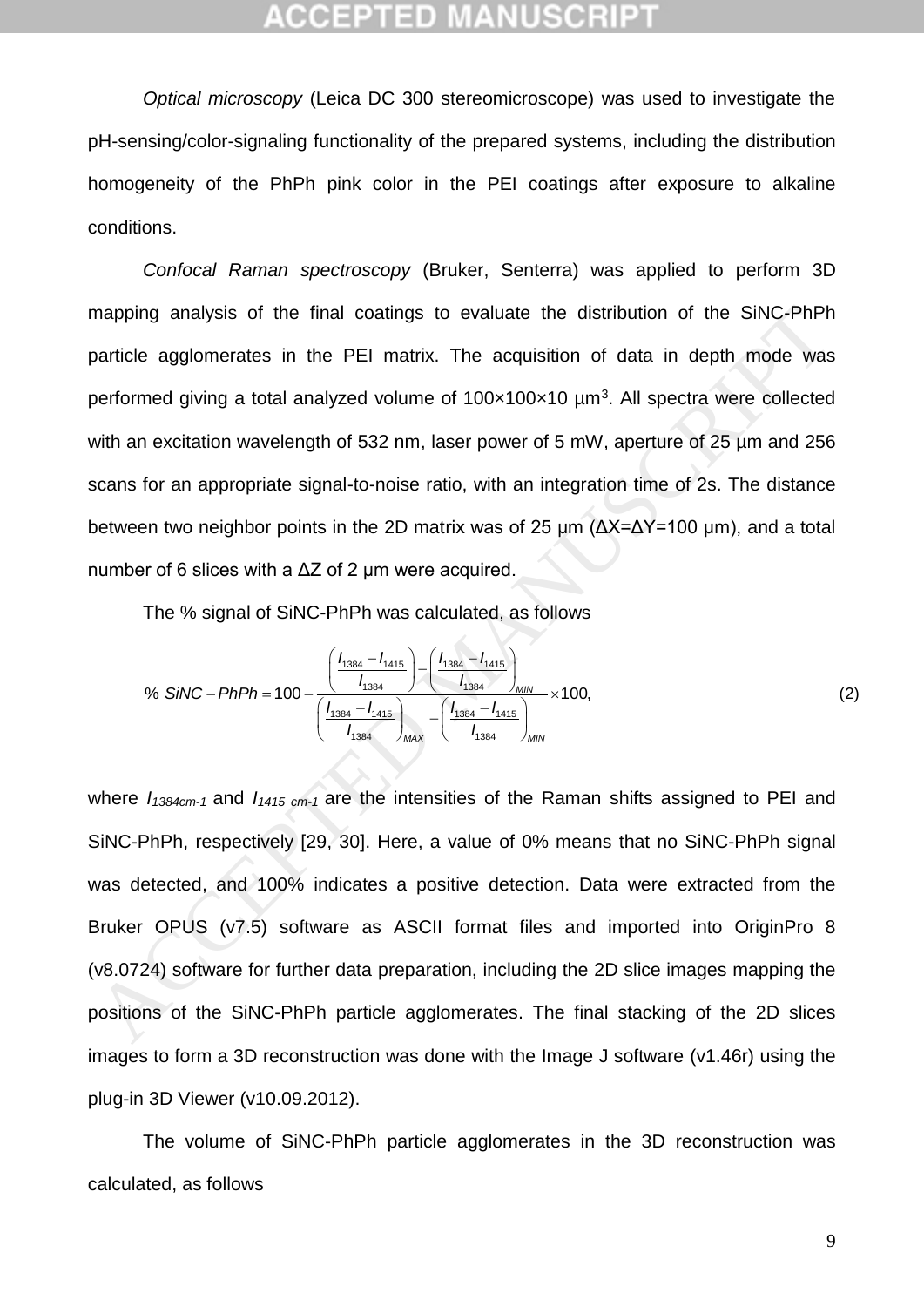### GGEPTED M

*Optical microscopy* (Leica DC 300 stereomicroscope) was used to investigate the pH-sensing/color-signaling functionality of the prepared systems, including the distribution homogeneity of the PhPh pink color in the PEI coatings after exposure to alkaline conditions.

*Confocal Raman spectroscopy* (Bruker, Senterra) was applied to perform 3D mapping analysis of the final coatings to evaluate the distribution of the SiNC-PhPh particle agglomerates in the PEI matrix. The acquisition of data in depth mode was performed giving a total analyzed volume of  $100 \times 100 \times 10$   $\mu$ m<sup>3</sup>. All spectra were collected with an excitation wavelength of 532 nm, laser power of 5 mW, aperture of 25 um and 256 scans for an appropriate signal-to-noise ratio, with an integration time of 2s. The distance between two neighbor points in the 2D matrix was of 25 µm (ΔX=ΔY=100 µm), and a total number of 6 slices with a  $\Delta Z$  of 2 um were acquired. mapping analysis of the final coatings to evaluate the distribution of the SiNC-PhPh<br>article agglomerates in the PEI matrix. The acquisition of data in depth mode was<br>beformed giving a total analyzed volume of 100x100x10

The % signal of SiNC-PhPh was calculated, as follows

r of 6 slices with a ΔZ of 2 µm were acquired.  
\nThe % signal of SiNC-PhPh was calculated, as follows  
\n% SiNC-PhPh = 100 - 
$$
\frac{\left(\frac{I_{1384} - I_{1415}}{I_{1384}}\right) - \left(\frac{I_{1384} - I_{1415}}{I_{1384}}\right)_{MIN}}{\left(\frac{I_{1384} - I_{1415}}{I_{1384}}\right)_{MAX}} - \left(\frac{I_{1384} - I_{1415}}{I_{1384}}\right)_{MIN}} \times 100,
$$
\n(2)

where *I1384cm-1* and *I1415 cm-1* are the intensities of the Raman shifts assigned to PEI and SiNC-PhPh, respectively [29, 30]. Here, a value of 0% means that no SiNC-PhPh signal was detected, and 100% indicates a positive detection. Data were extracted from the Bruker OPUS (v7.5) software as ASCII format files and imported into OriginPro 8 (v8.0724) software for further data preparation, including the 2D slice images mapping the positions of the SiNC-PhPh particle agglomerates. The final stacking of the 2D slices images to form a 3D reconstruction was done with the Image J software (v1.46r) using the plug-in 3D Viewer (v10.09.2012).

The volume of SiNC-PhPh particle agglomerates in the 3D reconstruction was calculated, as follows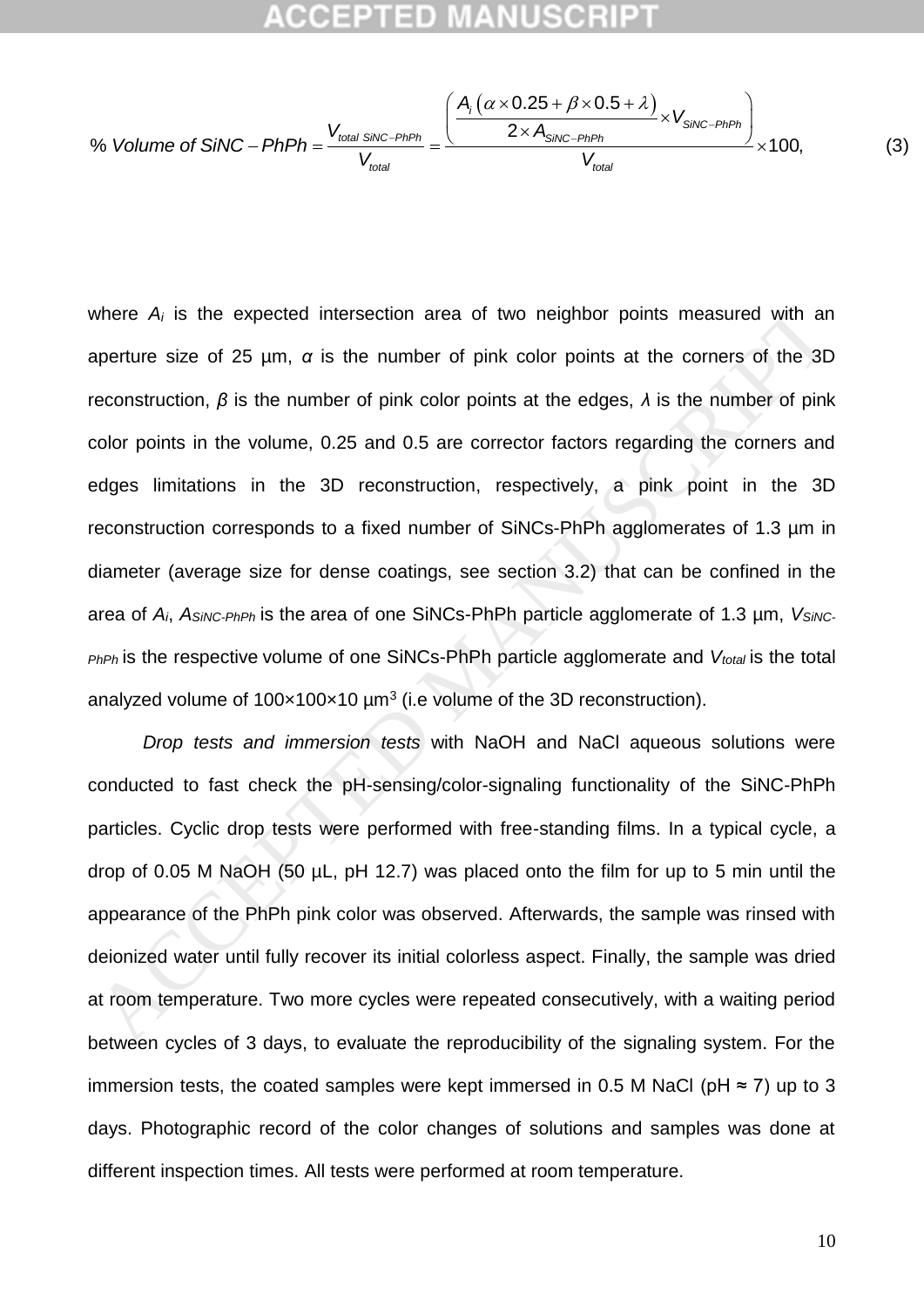#### :CEPTED MANUSCR

**ACCEPTED MAXUSCRIPT**  
\n% Volume of SINC – PhD = 
$$
\frac{V_{total SINC-PhPh}}{V_{total}} = \frac{\left(\frac{A_i (\alpha \times 0.25 + \beta \times 0.5 + \lambda)}{2 \times A_{SINC-PhPh}} \times V_{SINC-PhPh}}{\frac{V_{total}}{V_{total}}}\right) \times 100,
$$
\n(3)

where *A<sup>i</sup>* is the expected intersection area of two neighbor points measured with an aperture size of 25 µm, *α* is the number of pink color points at the corners of the 3D reconstruction, *β* is the number of pink color points at the edges, *λ* is the number of pink color points in the volume, 0.25 and 0.5 are corrector factors regarding the corners and edges limitations in the 3D reconstruction, respectively, a pink point in the 3D reconstruction corresponds to a fixed number of SiNCs-PhPh agglomerates of 1.3 µm in diameter (average size for dense coatings, see section 3.2) that can be confined in the area of *Ai*, *ASiNC-PhPh* is the area of one SiNCs-PhPh particle agglomerate of 1.3 µm, *VSiNC-PhPh* is the respective volume of one SiNCs-PhPh particle agglomerate and *Vtotal* is the total analyzed volume of  $100 \times 100 \times 10$  µm<sup>3</sup> (i.e volume of the 3D reconstruction). where  $A_i$  is the expected intersection area of two neighbor points measured with an<br>aperture size of 25 µm,  $\alpha$  is the number of pink color points at the corners of the 3D<br>econstruction,  $\beta$  is the number of pink color

*Drop tests and immersion tests* with NaOH and NaCl aqueous solutions were conducted to fast check the pH-sensing/color-signaling functionality of the SiNC-PhPh particles. Cyclic drop tests were performed with free-standing films. In a typical cycle, a drop of 0.05 M NaOH (50 µL, pH 12.7) was placed onto the film for up to 5 min until the appearance of the PhPh pink color was observed. Afterwards, the sample was rinsed with deionized water until fully recover its initial colorless aspect. Finally, the sample was dried at room temperature. Two more cycles were repeated consecutively, with a waiting period between cycles of 3 days, to evaluate the reproducibility of the signaling system. For the immersion tests, the coated samples were kept immersed in 0.5 M NaCl ( $pH \approx 7$ ) up to 3 days. Photographic record of the color changes of solutions and samples was done at different inspection times. All tests were performed at room temperature.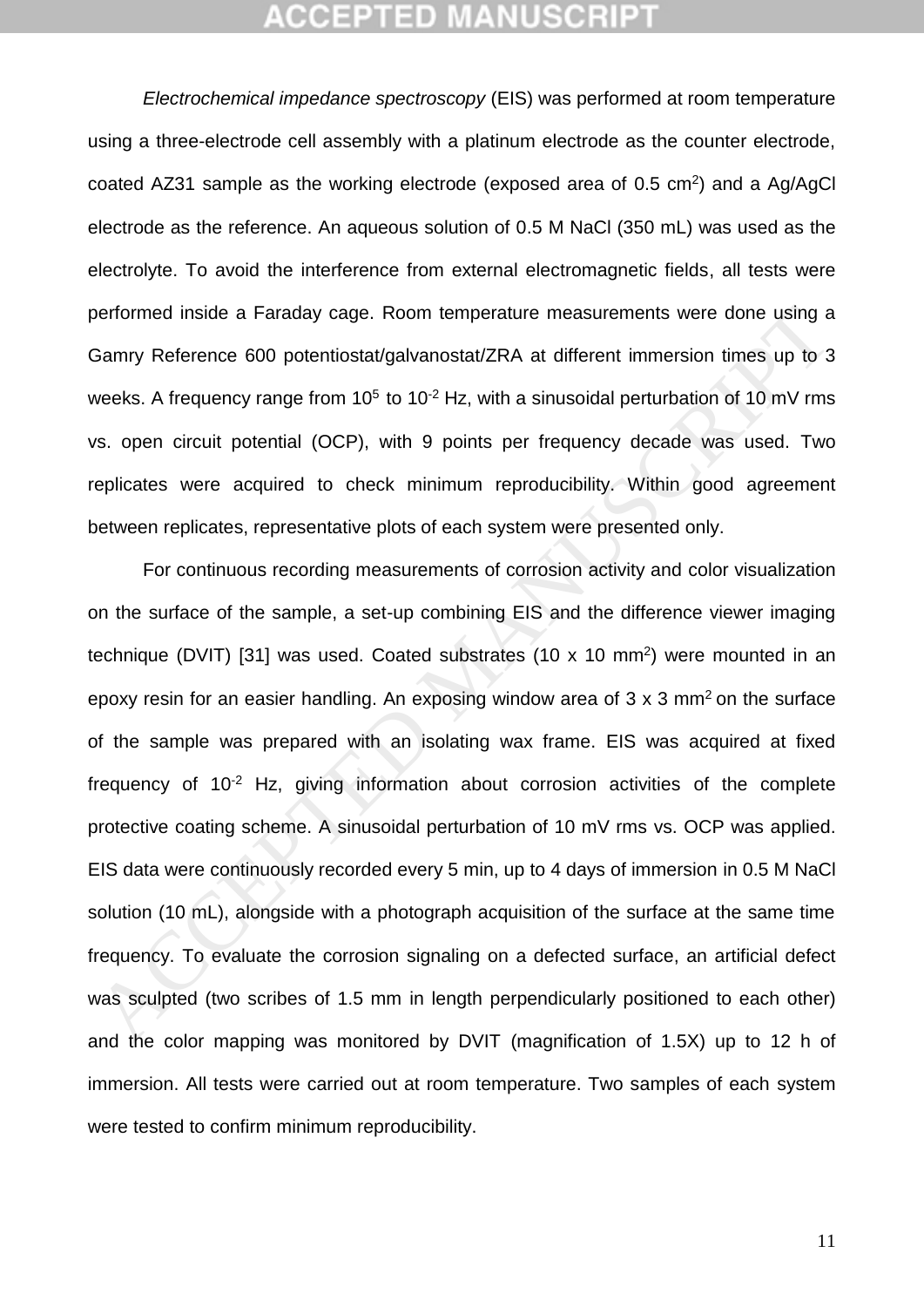*Electrochemical impedance spectroscopy* (EIS) was performed at room temperature using a three-electrode cell assembly with a platinum electrode as the counter electrode, coated AZ31 sample as the working electrode (exposed area of  $0.5 \text{ cm}^2$ ) and a Ag/AgCl electrode as the reference. An aqueous solution of 0.5 M NaCl (350 mL) was used as the electrolyte. To avoid the interference from external electromagnetic fields, all tests were performed inside a Faraday cage. Room temperature measurements were done using a Gamry Reference 600 potentiostat/galvanostat/ZRA at different immersion times up to 3 weeks. A frequency range from  $10^5$  to  $10^{-2}$  Hz, with a sinusoidal perturbation of 10 mV rms vs. open circuit potential (OCP), with 9 points per frequency decade was used. Two replicates were acquired to check minimum reproducibility. Within good agreement between replicates, representative plots of each system were presented only.

For continuous recording measurements of corrosion activity and color visualization on the surface of the sample, a set-up combining EIS and the difference viewer imaging technique (DVIT) [31] was used. Coated substrates (10 x 10 mm<sup>2</sup>) were mounted in an epoxy resin for an easier handling. An exposing window area of  $3 \times 3$  mm<sup>2</sup> on the surface of the sample was prepared with an isolating wax frame. EIS was acquired at fixed frequency of  $10^{-2}$  Hz, giving information about corrosion activities of the complete protective coating scheme. A sinusoidal perturbation of 10 mV rms vs. OCP was applied. EIS data were continuously recorded every 5 min, up to 4 days of immersion in 0.5 M NaCl solution (10 mL), alongside with a photograph acquisition of the surface at the same time frequency. To evaluate the corrosion signaling on a defected surface, an artificial defect was sculpted (two scribes of 1.5 mm in length perpendicularly positioned to each other) and the color mapping was monitored by DVIT (magnification of 1.5X) up to 12 h of immersion. All tests were carried out at room temperature. Two samples of each system were tested to confirm minimum reproducibility. beformed inside a Faraday cage. Room temperature measurements were done using a<br>Samry Reference 600 potentiostat/galvanostat/ZRA at different immersion times up to 3<br>Samry Reference 600 potentiostat/galvanostat/ZRA at diff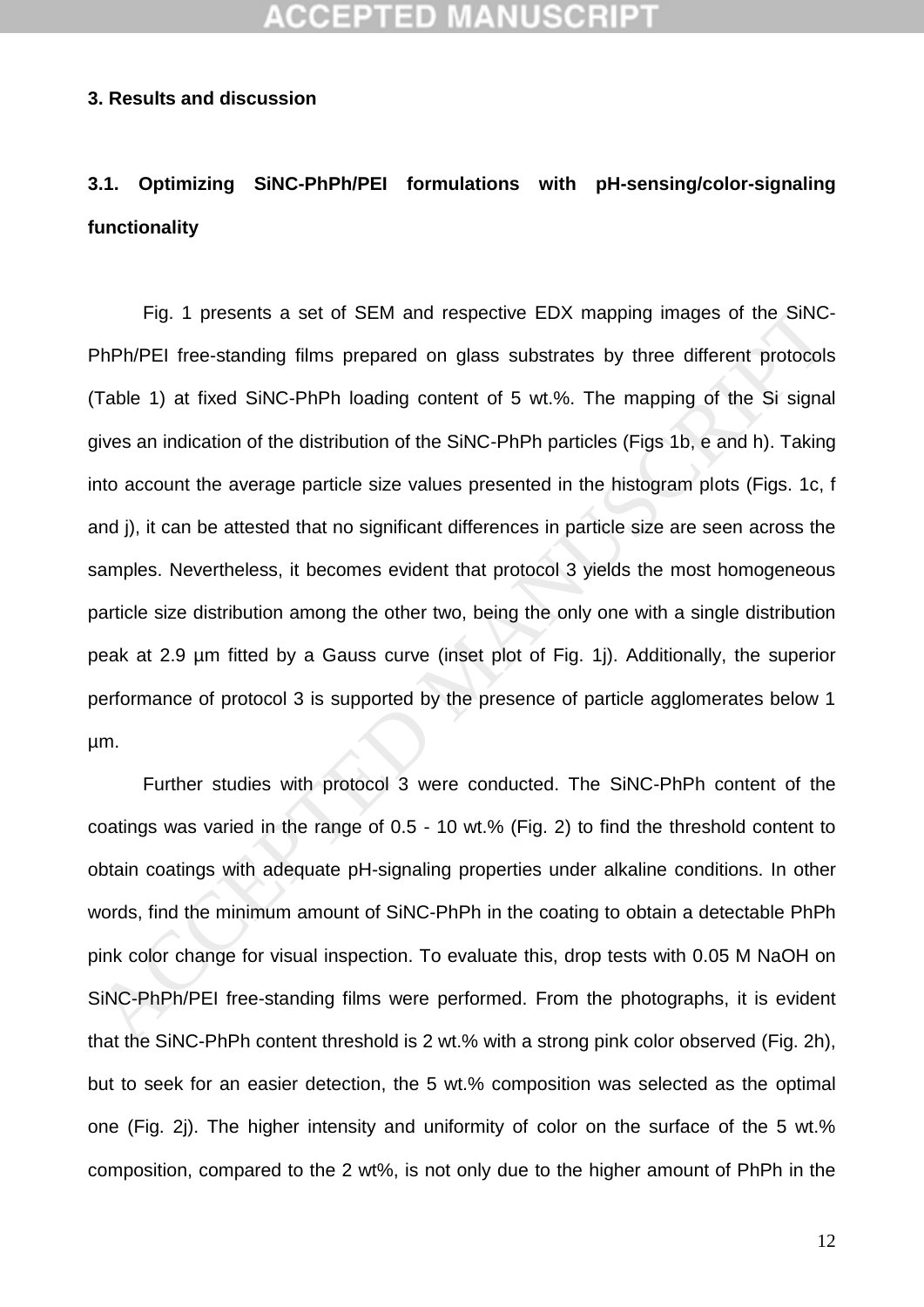## **CCEPTED MANUSO**

#### **3. Results and discussion**

## **3.1. Optimizing SiNC-PhPh/PEI formulations with pH-sensing/color-signaling functionality**

Fig. 1 presents a set of SEM and respective EDX mapping images of the SiNC-PhPh/PEI free-standing films prepared on glass substrates by three different protocols (Table 1) at fixed SiNC-PhPh loading content of 5 wt.%. The mapping of the Si signal gives an indication of the distribution of the SiNC-PhPh particles (Figs 1b, e and h). Taking into account the average particle size values presented in the histogram plots (Figs. 1c, f and j), it can be attested that no significant differences in particle size are seen across the samples. Nevertheless, it becomes evident that protocol 3 yields the most homogeneous particle size distribution among the other two, being the only one with a single distribution peak at 2.9 µm fitted by a Gauss curve (inset plot of Fig. 1j). Additionally, the superior performance of protocol 3 is supported by the presence of particle agglomerates below 1 µm. Fig. 1 presents a set of SEM and respective EDX mapping images of the SiNC-<br>PhPh/PEI free-standing films prepared on glass substrates by three different protocols<br>Table 1) at fixed SiNC-PhPh loading content of 5 wt.%. The

Further studies with protocol 3 were conducted. The SiNC-PhPh content of the coatings was varied in the range of 0.5 - 10 wt.% (Fig. 2) to find the threshold content to obtain coatings with adequate pH-signaling properties under alkaline conditions. In other words, find the minimum amount of SiNC-PhPh in the coating to obtain a detectable PhPh pink color change for visual inspection. To evaluate this, drop tests with 0.05 M NaOH on SiNC-PhPh/PEI free-standing films were performed. From the photographs, it is evident that the SiNC-PhPh content threshold is 2 wt.% with a strong pink color observed (Fig. 2h), but to seek for an easier detection, the 5 wt.% composition was selected as the optimal one (Fig. 2j). The higher intensity and uniformity of color on the surface of the 5 wt.% composition, compared to the 2 wt%, is not only due to the higher amount of PhPh in the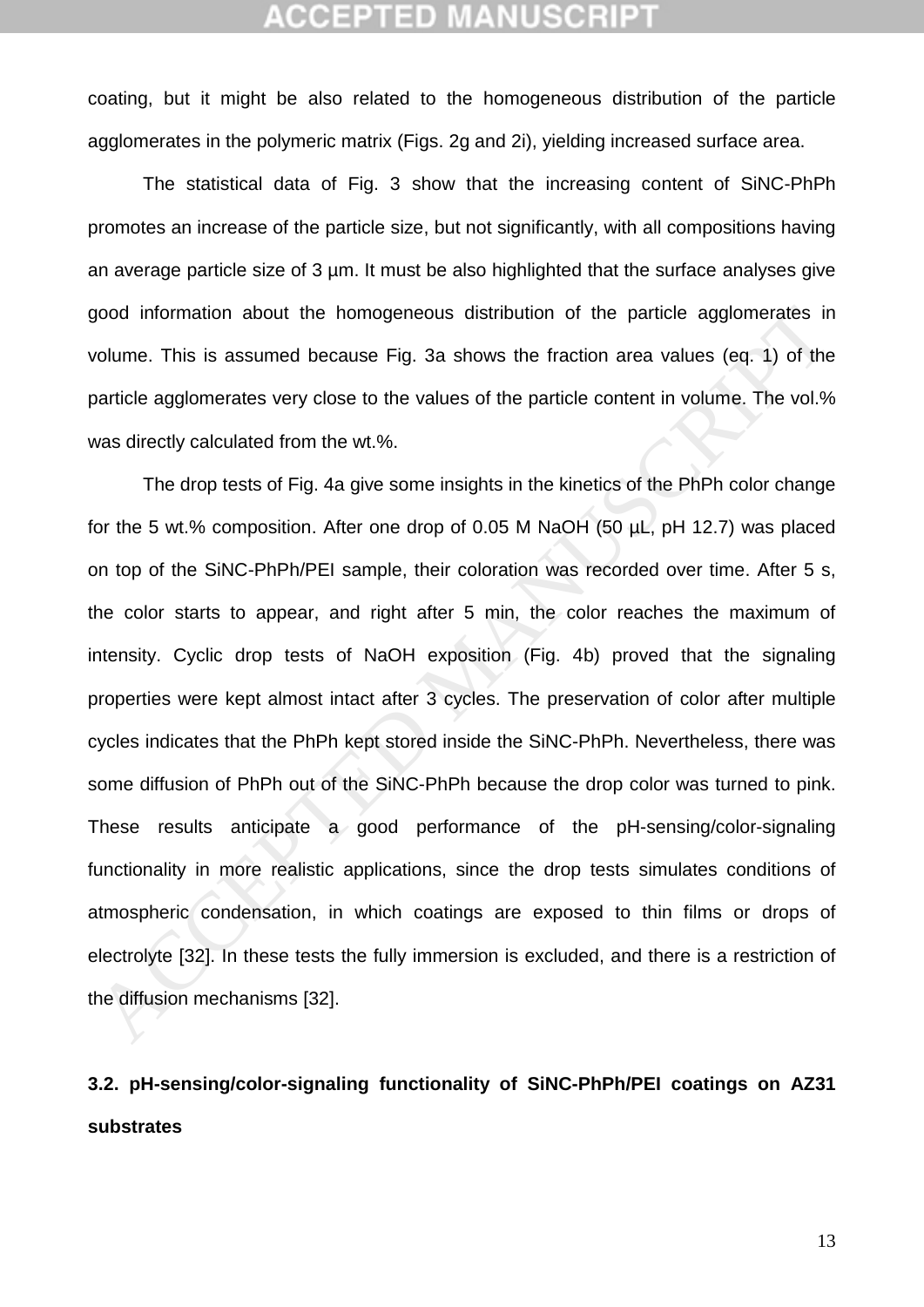coating, but it might be also related to the homogeneous distribution of the particle agglomerates in the polymeric matrix (Figs. 2g and 2i), yielding increased surface area.

The statistical data of Fig. 3 show that the increasing content of SiNC-PhPh promotes an increase of the particle size, but not significantly, with all compositions having an average particle size of 3 um. It must be also highlighted that the surface analyses give good information about the homogeneous distribution of the particle agglomerates in volume. This is assumed because Fig. 3a shows the fraction area values (eq. 1) of the particle agglomerates very close to the values of the particle content in volume. The vol.% was directly calculated from the wt.%.

The drop tests of Fig. 4a give some insights in the kinetics of the PhPh color change for the 5 wt.% composition. After one drop of 0.05 M NaOH (50 µL, pH 12.7) was placed on top of the SiNC-PhPh/PEI sample, their coloration was recorded over time. After 5 s, the color starts to appear, and right after 5 min, the color reaches the maximum of intensity. Cyclic drop tests of NaOH exposition (Fig. 4b) proved that the signaling properties were kept almost intact after 3 cycles. The preservation of color after multiple cycles indicates that the PhPh kept stored inside the SiNC-PhPh. Nevertheless, there was some diffusion of PhPh out of the SiNC-PhPh because the drop color was turned to pink. These results anticipate a good performance of the pH-sensing/color-signaling functionality in more realistic applications, since the drop tests simulates conditions of atmospheric condensation, in which coatings are exposed to thin films or drops of electrolyte [32]. In these tests the fully immersion is excluded, and there is a restriction of the diffusion mechanisms [32]. good information about the homogeneous distribution of the particle agglomerates in<br>volume. This is assumed because Fig. 3a shows the fraction area values (eq. 1) of the<br>article agglomerates very close to the values of the

## **3.2. pH-sensing/color-signaling functionality of SiNC-PhPh/PEI coatings on AZ31 substrates**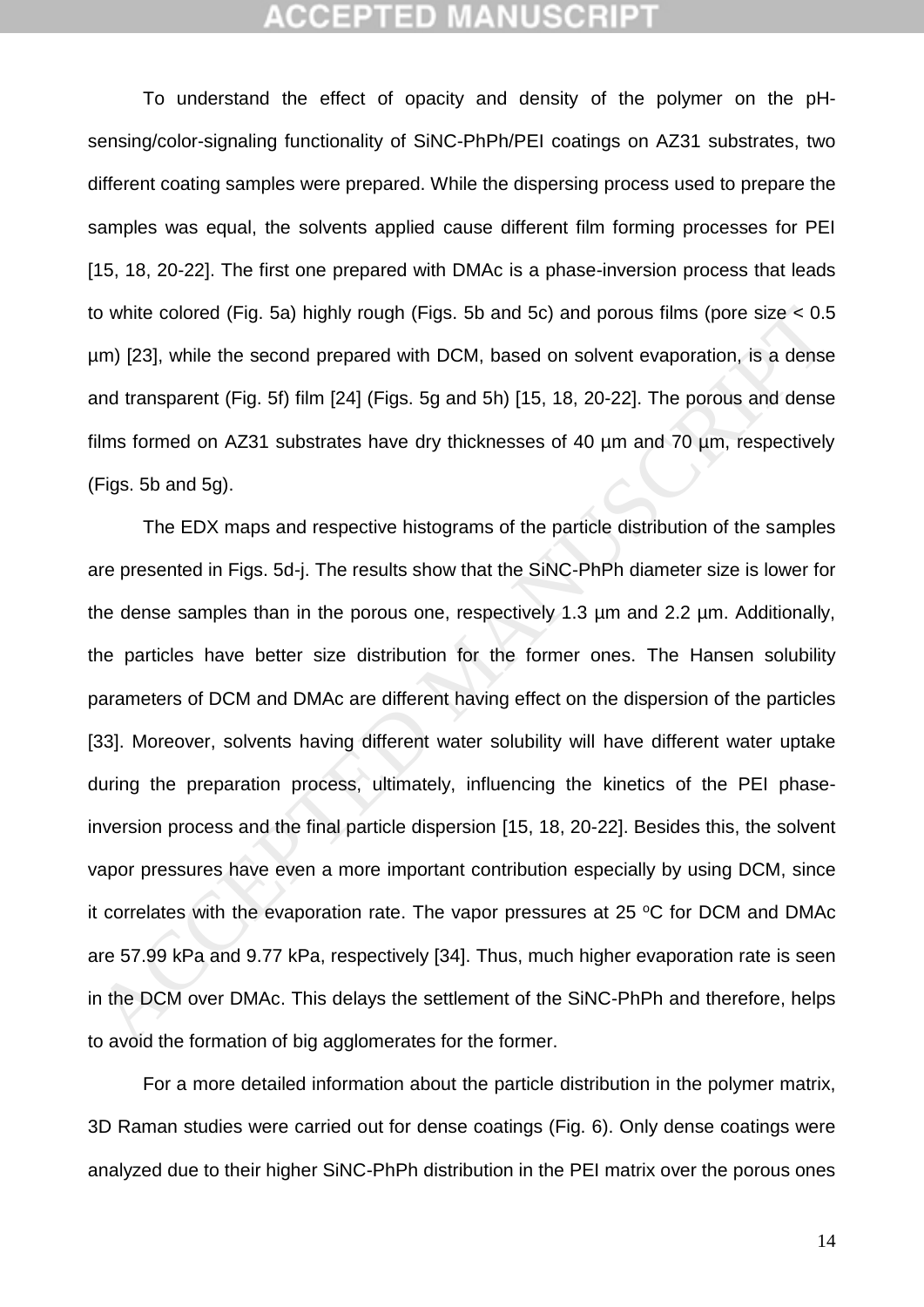To understand the effect of opacity and density of the polymer on the pHsensing/color-signaling functionality of SiNC-PhPh/PEI coatings on AZ31 substrates, two different coating samples were prepared. While the dispersing process used to prepare the samples was equal, the solvents applied cause different film forming processes for PEI [\[15,](#page-25-8) [18,](#page-26-1) [20-22\]](#page-26-5). The first one prepared with DMAc is a phase-inversion process that leads to white colored (Fig. 5a) highly rough (Figs. 5b and 5c) and porous films (pore size < 0.5 µm) [23], while the second prepared with DCM, based on solvent evaporation, is a dense and transparent (Fig. 5f) film [24] (Figs. 5g and 5h) [15, 18, 20-22]. The porous and dense films formed on AZ31 substrates have dry thicknesses of 40 µm and 70 µm, respectively (Figs. 5b and 5g).

The EDX maps and respective histograms of the particle distribution of the samples are presented in Figs. 5d-j. The results show that the SiNC-PhPh diameter size is lower for the dense samples than in the porous one, respectively 1.3 µm and 2.2 µm. Additionally, the particles have better size distribution for the former ones. The Hansen solubility parameters of DCM and DMAc are different having effect on the dispersion of the particles [33]. Moreover, solvents having different water solubility will have different water uptake during the preparation process, ultimately, influencing the kinetics of the PEI phaseinversion process and the final particle dispersion [15, 18, 20-22]. Besides this, the solvent vapor pressures have even a more important contribution especially by using DCM, since it correlates with the evaporation rate. The vapor pressures at  $25 \degree C$  for DCM and DMAc are 57.99 kPa and 9.77 kPa, respectively [34]. Thus, much higher evaporation rate is seen in the DCM over DMAc. This delays the settlement of the SiNC-PhPh and therefore, helps to avoid the formation of big agglomerates for the former. o white colored (Fig. 5a) highly rough (Figs. 5b and 5c) and porous films (pore size < 0.5<br>m) [23], while the second prepared with DCM, based on solvent evaporation, is a dense<br>and transparent (Fig. 5f) film [24] (Figs. 5g

For a more detailed information about the particle distribution in the polymer matrix, 3D Raman studies were carried out for dense coatings (Fig. 6). Only dense coatings were analyzed due to their higher SiNC-PhPh distribution in the PEI matrix over the porous ones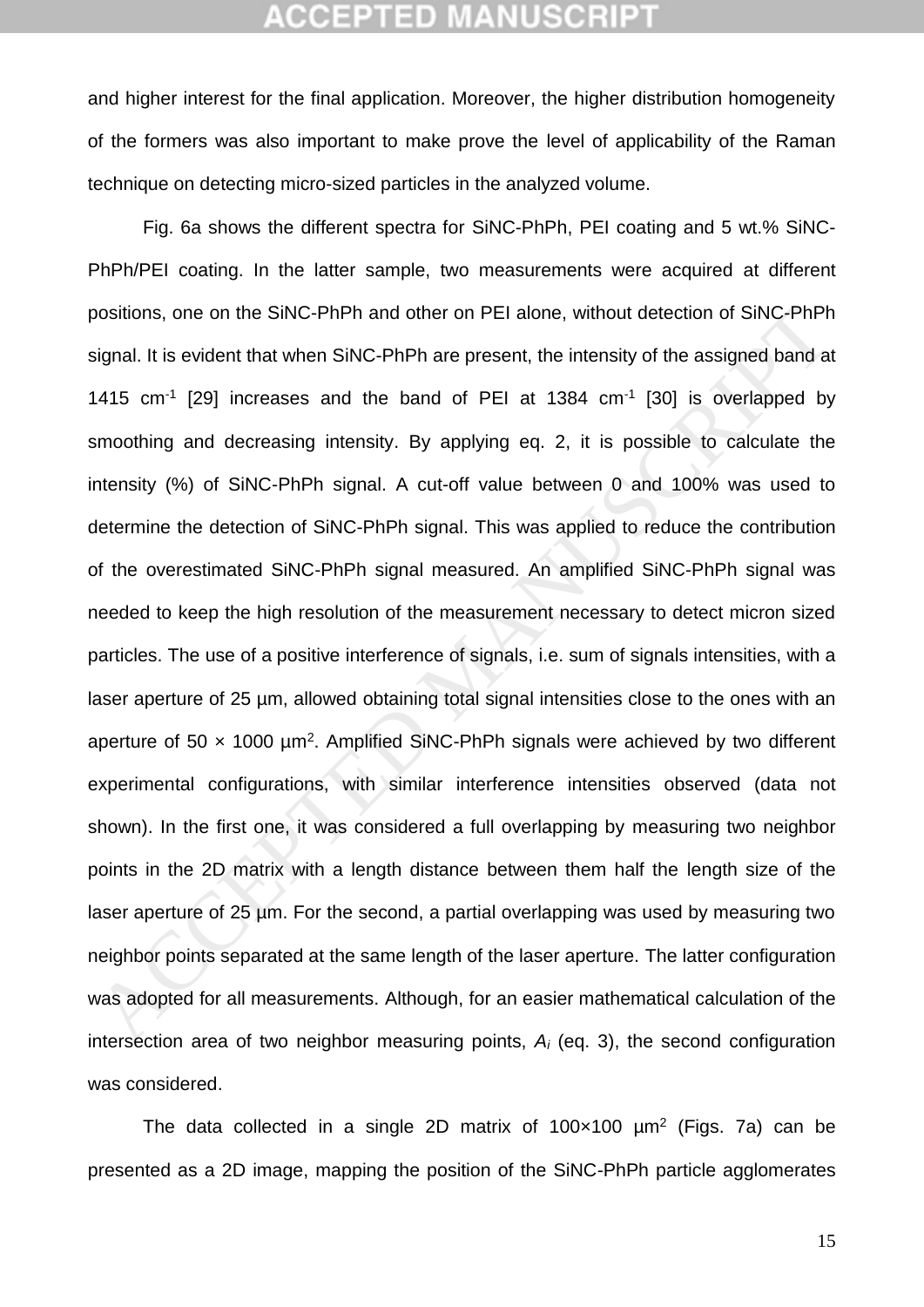and higher interest for the final application. Moreover, the higher distribution homogeneity of the formers was also important to make prove the level of applicability of the Raman technique on detecting micro-sized particles in the analyzed volume.

Fig. 6a shows the different spectra for SiNC-PhPh, PEI coating and 5 wt.% SiNC-PhPh/PEI coating. In the latter sample, two measurements were acquired at different positions, one on the SiNC-PhPh and other on PEI alone, without detection of SiNC-PhPh signal. It is evident that when SiNC-PhPh are present, the intensity of the assigned band at 1415  $cm^{-1}$  [29] increases and the band of PEI at 1384  $cm^{-1}$  [30] is overlapped by smoothing and decreasing intensity. By applying eq. 2, it is possible to calculate the intensity (%) of SiNC-PhPh signal. A cut-off value between 0 and 100% was used to determine the detection of SiNC-PhPh signal. This was applied to reduce the contribution of the overestimated SiNC-PhPh signal measured. An amplified SiNC-PhPh signal was needed to keep the high resolution of the measurement necessary to detect micron sized particles. The use of a positive interference of signals, i.e. sum of signals intensities, with a laser aperture of 25 µm, allowed obtaining total signal intensities close to the ones with an aperture of 50  $\times$  1000  $\mu$ m<sup>2</sup>. Amplified SiNC-PhPh signals were achieved by two different experimental configurations, with similar interference intensities observed (data not shown). In the first one, it was considered a full overlapping by measuring two neighbor points in the 2D matrix with a length distance between them half the length size of the laser aperture of 25 µm. For the second, a partial overlapping was used by measuring two neighbor points separated at the same length of the laser aperture. The latter configuration was adopted for all measurements. Although, for an easier mathematical calculation of the intersection area of two neighbor measuring points, *A<sup>i</sup>* (eq. 3), the second configuration was considered. oositions, one on the SiNC-PhPh and other on PEI alone, without detection of SiNC-PhPh<br>signal. It is evident that when SiNC-PhPh are present, the intensity of the assigned band a<br>H415 cm<sup>-1</sup> [29] increases and the band of

The data collected in a single 2D matrix of  $100 \times 100$   $\mu$ m<sup>2</sup> (Figs. 7a) can be presented as a 2D image, mapping the position of the SiNC-PhPh particle agglomerates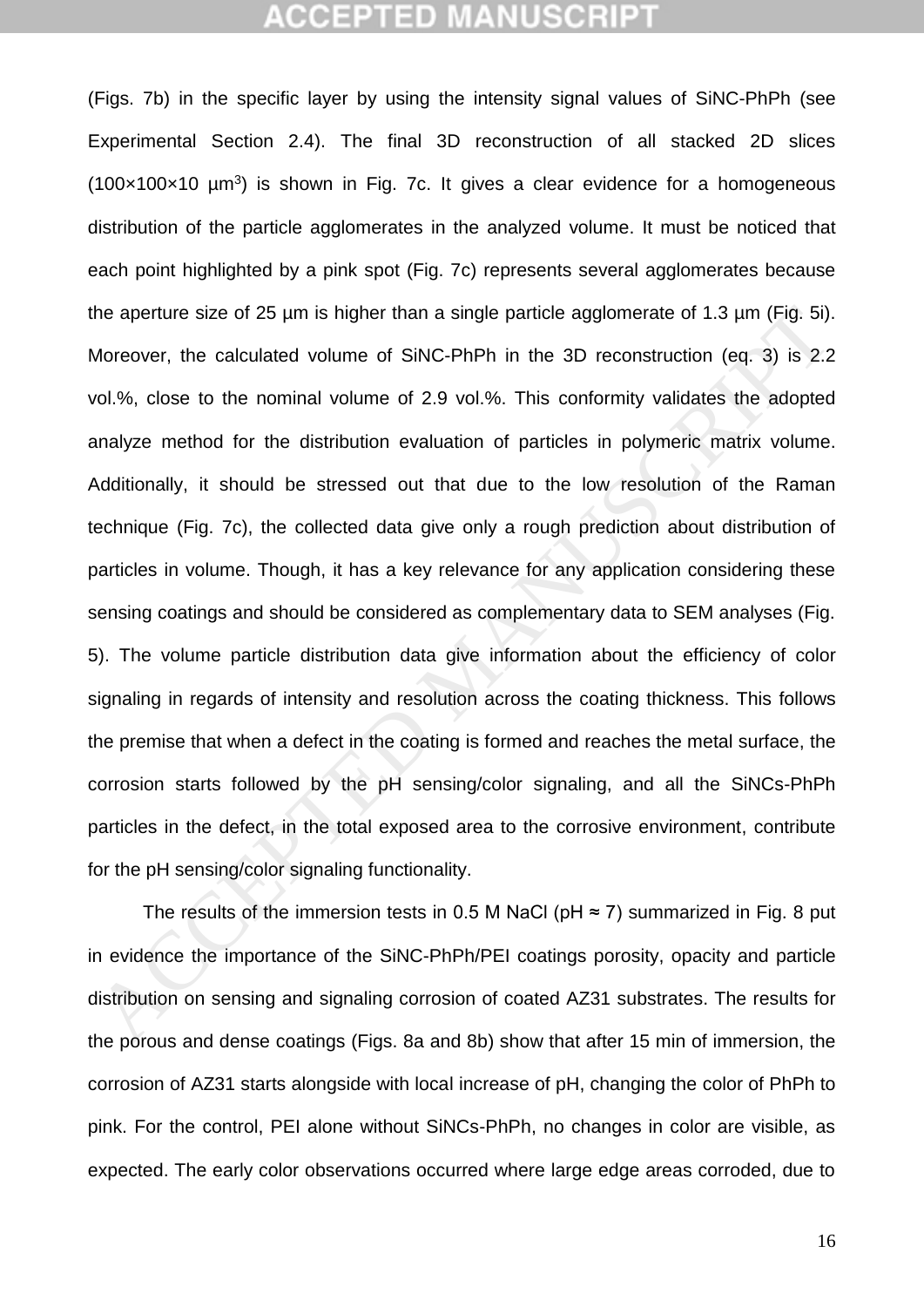(Figs. 7b) in the specific layer by using the intensity signal values of SiNC-PhPh (see Experimental Section 2.4). The final 3D reconstruction of all stacked 2D slices  $(100 \times 100 \times 10 \mu m^3)$  is shown in Fig. 7c. It gives a clear evidence for a homogeneous distribution of the particle agglomerates in the analyzed volume. It must be noticed that each point highlighted by a pink spot (Fig. 7c) represents several agglomerates because the aperture size of 25 µm is higher than a single particle agglomerate of 1.3 µm (Fig. 5i). Moreover, the calculated volume of SiNC-PhPh in the 3D reconstruction (eq. 3) is 2.2 vol.%, close to the nominal volume of 2.9 vol.%. This conformity validates the adopted analyze method for the distribution evaluation of particles in polymeric matrix volume. Additionally, it should be stressed out that due to the low resolution of the Raman technique (Fig. 7c), the collected data give only a rough prediction about distribution of particles in volume. Though, it has a key relevance for any application considering these sensing coatings and should be considered as complementary data to SEM analyses (Fig. 5). The volume particle distribution data give information about the efficiency of color signaling in regards of intensity and resolution across the coating thickness. This follows the premise that when a defect in the coating is formed and reaches the metal surface, the corrosion starts followed by the pH sensing/color signaling, and all the SiNCs-PhPh particles in the defect, in the total exposed area to the corrosive environment, contribute for the pH sensing/color signaling functionality. The aperture size of 25 µm is higher than a single particle agglomerate of 1.3 µm (Fig. 5i)<br>Moreover, the calculated volume of SiNC-PhPh in the 3D reconstruction (eq. 3) is 2.2<br>vol.%, close to the nominal volume of 2.9 vo

The results of the immersion tests in 0.5 M NaCl ( $pH \approx 7$ ) summarized in Fig. 8 put in evidence the importance of the SiNC-PhPh/PEI coatings porosity, opacity and particle distribution on sensing and signaling corrosion of coated AZ31 substrates. The results for the porous and dense coatings (Figs. 8a and 8b) show that after 15 min of immersion, the corrosion of AZ31 starts alongside with local increase of pH, changing the color of PhPh to pink. For the control, PEI alone without SiNCs-PhPh, no changes in color are visible, as expected. The early color observations occurred where large edge areas corroded, due to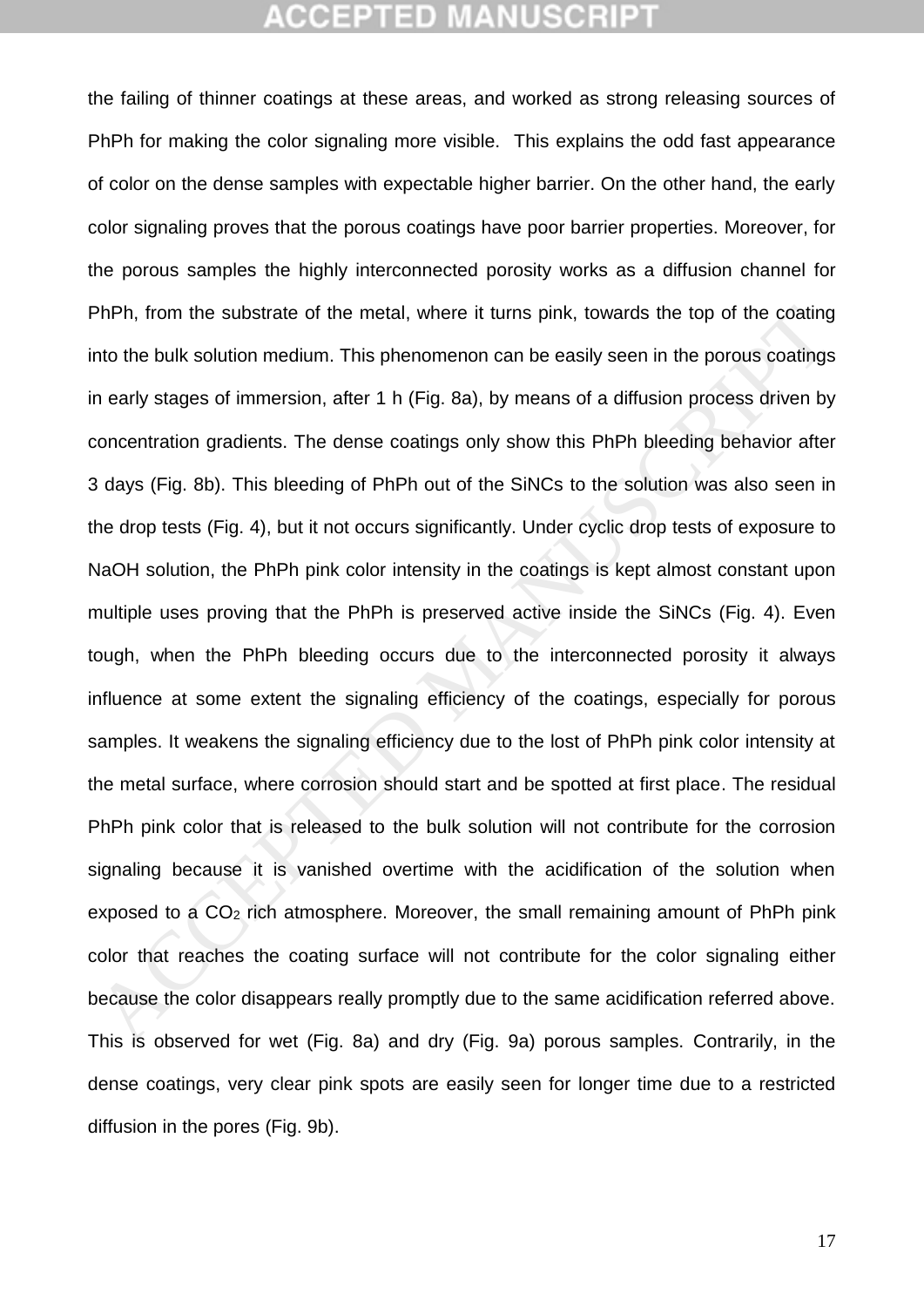the failing of thinner coatings at these areas, and worked as strong releasing sources of PhPh for making the color signaling more visible. This explains the odd fast appearance of color on the dense samples with expectable higher barrier. On the other hand, the early color signaling proves that the porous coatings have poor barrier properties. Moreover, for the porous samples the highly interconnected porosity works as a diffusion channel for PhPh, from the substrate of the metal, where it turns pink, towards the top of the coating into the bulk solution medium. This phenomenon can be easily seen in the porous coatings in early stages of immersion, after 1 h (Fig. 8a), by means of a diffusion process driven by concentration gradients. The dense coatings only show this PhPh bleeding behavior after 3 days (Fig. 8b). This bleeding of PhPh out of the SiNCs to the solution was also seen in the drop tests (Fig. 4), but it not occurs significantly. Under cyclic drop tests of exposure to NaOH solution, the PhPh pink color intensity in the coatings is kept almost constant upon multiple uses proving that the PhPh is preserved active inside the SiNCs (Fig. 4). Even tough, when the PhPh bleeding occurs due to the interconnected porosity it always influence at some extent the signaling efficiency of the coatings, especially for porous samples. It weakens the signaling efficiency due to the lost of PhPh pink color intensity at the metal surface, where corrosion should start and be spotted at first place. The residual PhPh pink color that is released to the bulk solution will not contribute for the corrosion signaling because it is vanished overtime with the acidification of the solution when exposed to a CO<sub>2</sub> rich atmosphere. Moreover, the small remaining amount of PhPh pink color that reaches the coating surface will not contribute for the color signaling either because the color disappears really promptly due to the same acidification referred above. This is observed for wet (Fig. 8a) and dry (Fig. 9a) porous samples. Contrarily, in the dense coatings, very clear pink spots are easily seen for longer time due to a restricted diffusion in the pores (Fig. 9b). PhPh, from the substrate of the metal, where it turns pink, towards the top of the coating<br>not the bulk solution medium. This phenomenon can be easily seen in the porous coatings<br>nearly stages of immersion, after 1 h (Fig.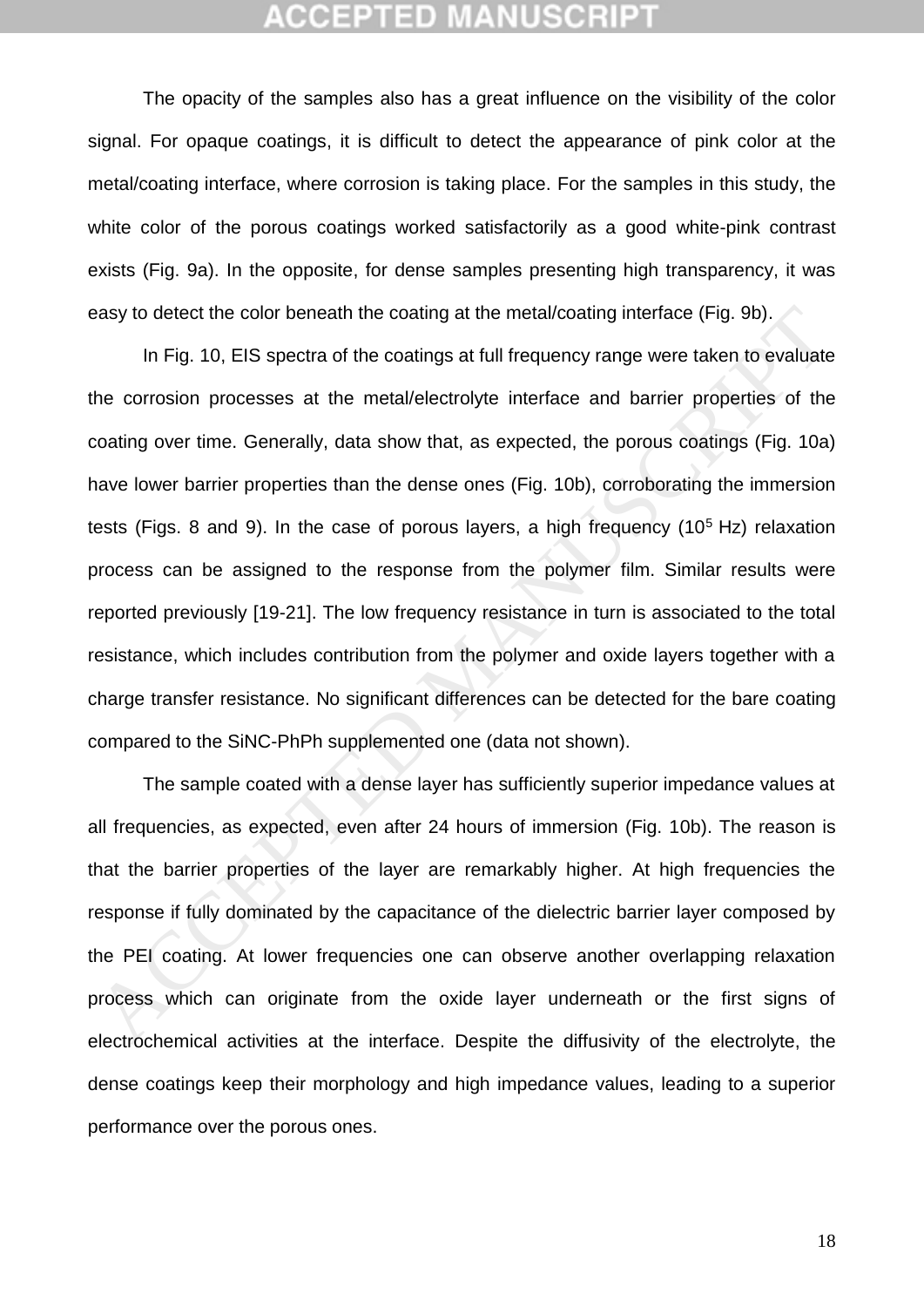The opacity of the samples also has a great influence on the visibility of the color signal. For opaque coatings, it is difficult to detect the appearance of pink color at the metal/coating interface, where corrosion is taking place. For the samples in this study, the white color of the porous coatings worked satisfactorily as a good white-pink contrast exists (Fig. 9a). In the opposite, for dense samples presenting high transparency, it was easy to detect the color beneath the coating at the metal/coating interface (Fig. 9b).

In Fig. 10, EIS spectra of the coatings at full frequency range were taken to evaluate the corrosion processes at the metal/electrolyte interface and barrier properties of the coating over time. Generally, data show that, as expected, the porous coatings (Fig. 10a) have lower barrier properties than the dense ones (Fig. 10b), corroborating the immersion tests (Figs. 8 and 9). In the case of porous layers, a high frequency ( $10<sup>5</sup>$  Hz) relaxation process can be assigned to the response from the polymer film. Similar results were reported previously [19-21]. The low frequency resistance in turn is associated to the total resistance, which includes contribution from the polymer and oxide layers together with a charge transfer resistance. No significant differences can be detected for the bare coating compared to the SiNC-PhPh supplemented one (data not shown). aay to detect the color beneath the coating at the metal/coating interface (Fig. 9b).<br>
In Fig. 10, EIS spectra of the coatings at full frequency range were taken to evaluate<br>
the corrosion processes at the metal/electrolyt

The sample coated with a dense layer has sufficiently superior impedance values at all frequencies, as expected, even after 24 hours of immersion (Fig. 10b). The reason is that the barrier properties of the layer are remarkably higher. At high frequencies the response if fully dominated by the capacitance of the dielectric barrier layer composed by the PEI coating. At lower frequencies one can observe another overlapping relaxation process which can originate from the oxide layer underneath or the first signs of electrochemical activities at the interface. Despite the diffusivity of the electrolyte, the dense coatings keep their morphology and high impedance values, leading to a superior performance over the porous ones.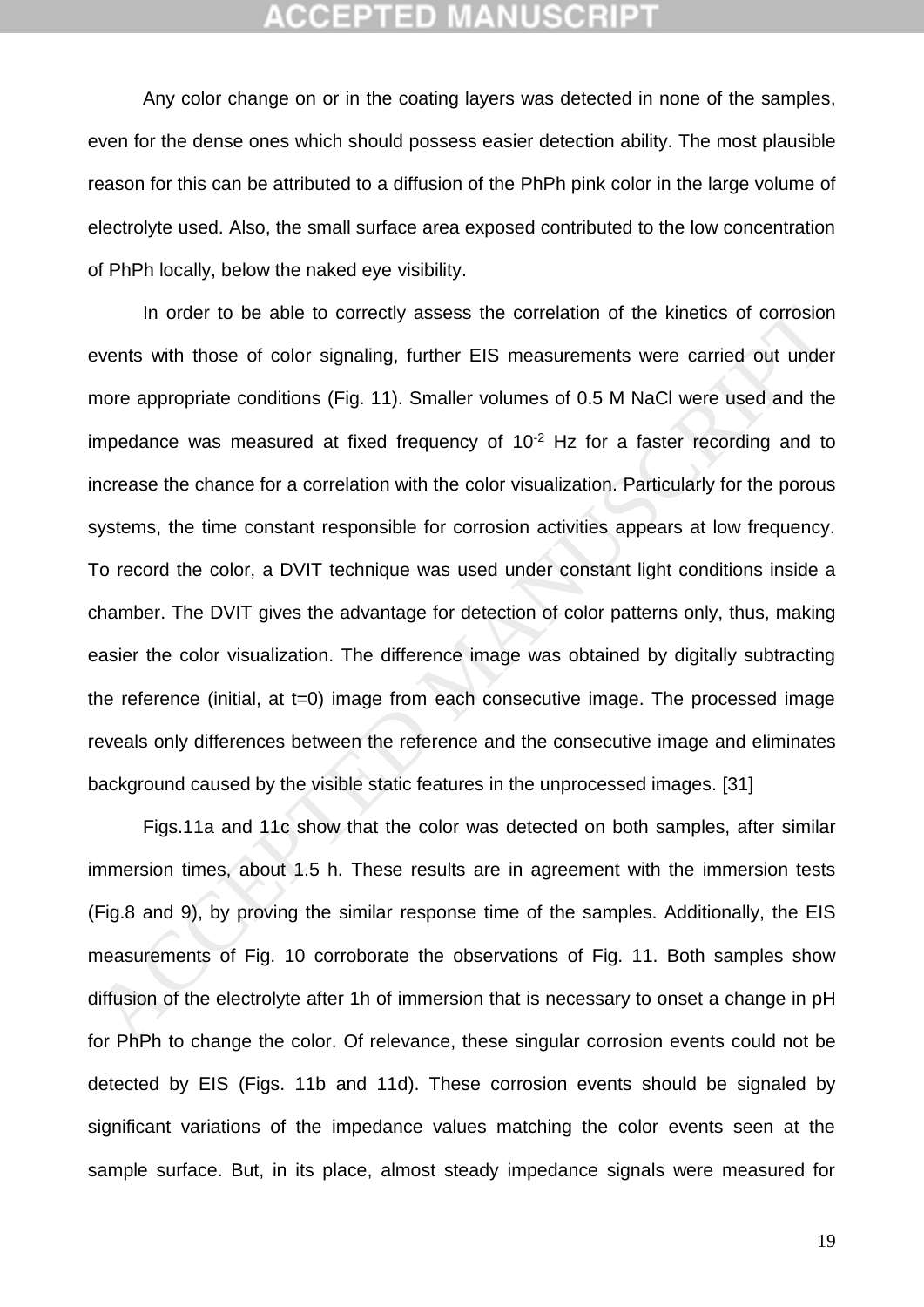Any color change on or in the coating layers was detected in none of the samples, even for the dense ones which should possess easier detection ability. The most plausible reason for this can be attributed to a diffusion of the PhPh pink color in the large volume of electrolyte used. Also, the small surface area exposed contributed to the low concentration of PhPh locally, below the naked eye visibility.

In order to be able to correctly assess the correlation of the kinetics of corrosion events with those of color signaling, further EIS measurements were carried out under more appropriate conditions (Fig. 11). Smaller volumes of 0.5 M NaCl were used and the impedance was measured at fixed frequency of  $10<sup>-2</sup>$  Hz for a faster recording and to increase the chance for a correlation with the color visualization. Particularly for the porous systems, the time constant responsible for corrosion activities appears at low frequency. To record the color, a DVIT technique was used under constant light conditions inside a chamber. The DVIT gives the advantage for detection of color patterns only, thus, making easier the color visualization. The difference image was obtained by digitally subtracting the reference (initial, at t=0) image from each consecutive image. The processed image reveals only differences between the reference and the consecutive image and eliminates background caused by the visible static features in the unprocessed images. [31] In order to be able to correctly assess the correlation of the kinetics of corresion<br>vents with those of color signaling, further EIS measurements were carried out under<br>nore appropriate conditions (Fig. 11). Smaller volu

Figs.11a and 11c show that the color was detected on both samples, after similar immersion times, about 1.5 h. These results are in agreement with the immersion tests (Fig.8 and 9), by proving the similar response time of the samples. Additionally, the EIS measurements of Fig. 10 corroborate the observations of Fig. 11. Both samples show diffusion of the electrolyte after 1h of immersion that is necessary to onset a change in pH for PhPh to change the color. Of relevance, these singular corrosion events could not be detected by EIS (Figs. 11b and 11d). These corrosion events should be signaled by significant variations of the impedance values matching the color events seen at the sample surface. But, in its place, almost steady impedance signals were measured for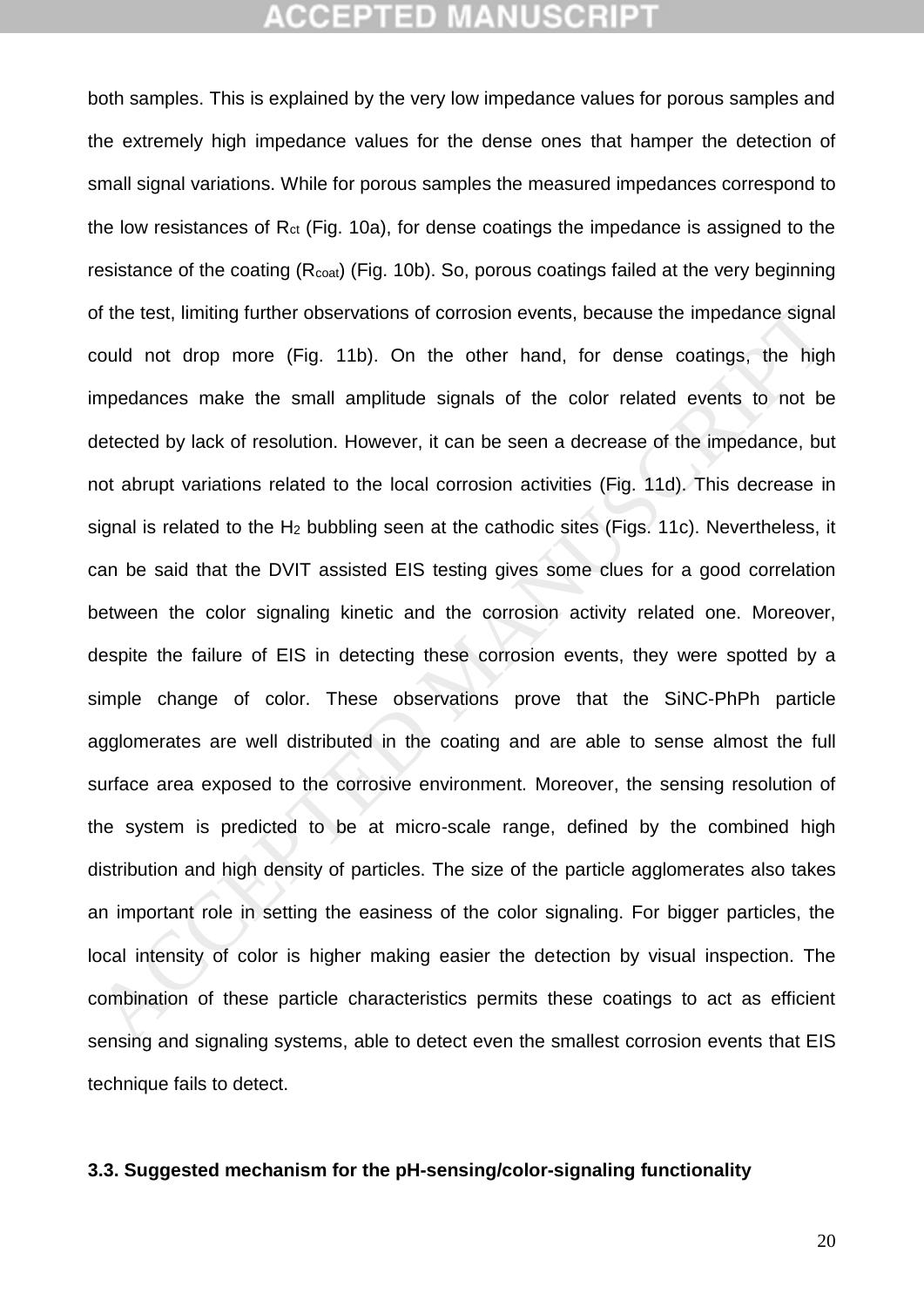both samples. This is explained by the very low impedance values for porous samples and the extremely high impedance values for the dense ones that hamper the detection of small signal variations. While for porous samples the measured impedances correspond to the low resistances of  $R<sub>ct</sub>$  (Fig. 10a), for dense coatings the impedance is assigned to the resistance of the coating (R<sub>coat</sub>) (Fig. 10b). So, porous coatings failed at the very beginning of the test, limiting further observations of corrosion events, because the impedance signal could not drop more (Fig. 11b). On the other hand, for dense coatings, the high impedances make the small amplitude signals of the color related events to not be detected by lack of resolution. However, it can be seen a decrease of the impedance, but not abrupt variations related to the local corrosion activities (Fig. 11d). This decrease in signal is related to the H<sup>2</sup> bubbling seen at the cathodic sites (Figs. 11c). Nevertheless, it can be said that the DVIT assisted EIS testing gives some clues for a good correlation between the color signaling kinetic and the corrosion activity related one. Moreover, despite the failure of EIS in detecting these corrosion events, they were spotted by a simple change of color. These observations prove that the SiNC-PhPh particle agglomerates are well distributed in the coating and are able to sense almost the full surface area exposed to the corrosive environment. Moreover, the sensing resolution of the system is predicted to be at micro-scale range, defined by the combined high distribution and high density of particles. The size of the particle agglomerates also takes an important role in setting the easiness of the color signaling. For bigger particles, the local intensity of color is higher making easier the detection by visual inspection. The combination of these particle characteristics permits these coatings to act as efficient sensing and signaling systems, able to detect even the smallest corrosion events that EIS technique fails to detect. of the test, limiting further observations of corrosion events, because the impedance signary and not drop more (Fig. 11b). On the other hand, for dense coatings, the high mpedances make the small amplitude signals of the

#### **3.3. Suggested mechanism for the pH-sensing/color-signaling functionality**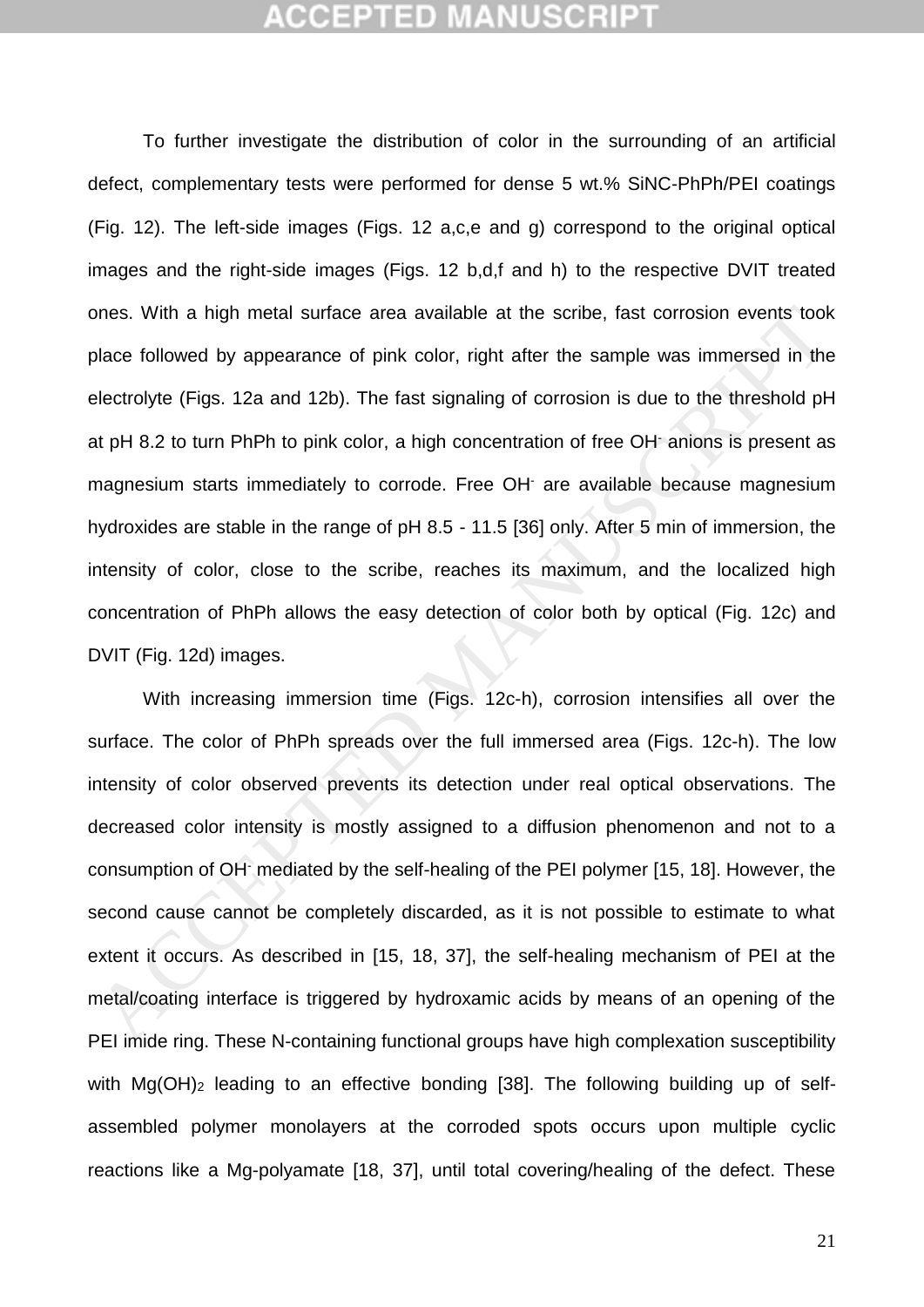To further investigate the distribution of color in the surrounding of an artificial defect, complementary tests were performed for dense 5 wt.% SiNC-PhPh/PEI coatings (Fig. 12). The left-side images (Figs. 12 a,c,e and g) correspond to the original optical images and the right-side images (Figs. 12 b,d,f and h) to the respective DVIT treated ones. With a high metal surface area available at the scribe, fast corrosion events took place followed by appearance of pink color, right after the sample was immersed in the electrolyte (Figs. 12a and 12b). The fast signaling of corrosion is due to the threshold pH at pH 8.2 to turn PhPh to pink color, a high concentration of free OH- anions is present as magnesium starts immediately to corrode. Free OH- are available because magnesium hydroxides are stable in the range of pH 8.5 - 11.5 [36] only. After 5 min of immersion, the intensity of color, close to the scribe, reaches its maximum, and the localized high concentration of PhPh allows the easy detection of color both by optical (Fig. 12c) and DVIT (Fig. 12d) images. ones. With a high metal surface area available at the scribe, fast corrosion events took<br>blace followed by appearance of pink color, right after the sample was immersed in the<br>lectrolyte (Figs. 12a and 12b). The fast signa

With increasing immersion time (Figs. 12c-h), corrosion intensifies all over the surface. The color of PhPh spreads over the full immersed area (Figs. 12c-h). The low intensity of color observed prevents its detection under real optical observations. The decreased color intensity is mostly assigned to a diffusion phenomenon and not to a consumption of OH- mediated by the self-healing of the PEI polymer [15, 18]. However, the second cause cannot be completely discarded, as it is not possible to estimate to what extent it occurs. As described in [15, 18, 37], the self-healing mechanism of PEI at the metal/coating interface is triggered by hydroxamic acids by means of an opening of the PEI imide ring. These N-containing functional groups have high complexation susceptibility with  $Mg(OH)_2$  leading to an effective bonding [\[38\]](#page-27-8). The following building up of selfassembled polymer monolayers at the corroded spots occurs upon multiple cyclic reactions like a Mg-polyamate [\[18,](#page-26-1) [37\]](#page-27-7), until total covering/healing of the defect. These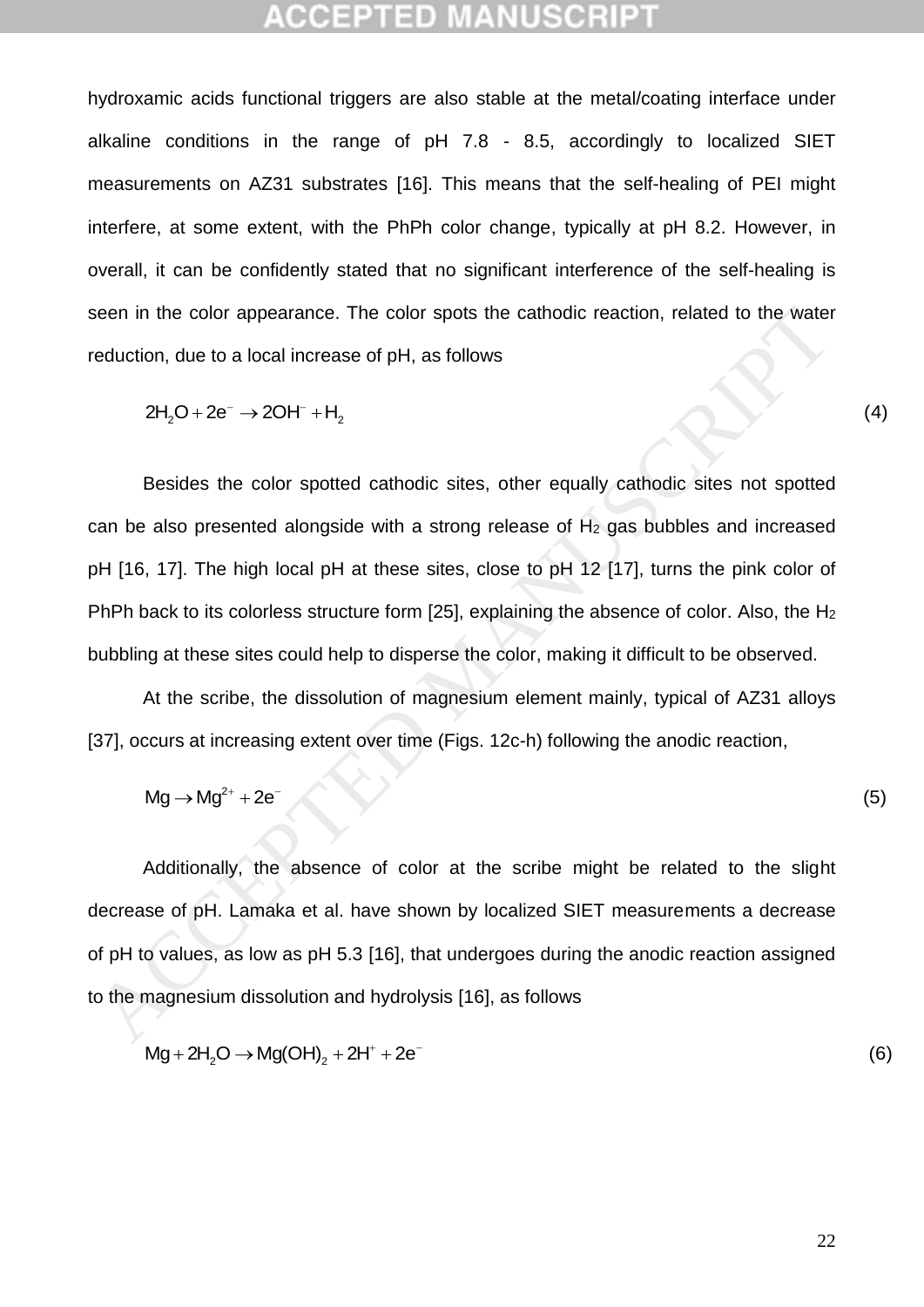hydroxamic acids functional triggers are also stable at the metal/coating interface under alkaline conditions in the range of pH 7.8 - 8.5, accordingly to localized SIET measurements on AZ31 substrates [\[16\]](#page-25-9). This means that the self-healing of PEI might interfere, at some extent, with the PhPh color change, typically at pH 8.2. However, in overall, it can be confidently stated that no significant interference of the self-healing is seen in the color appearance. The color spots the cathodic reaction, related to the water reduction, due to a local increase of pH, as follows The color appearance. The color spots the cathodic reaction, related to the water<br>on, due to a local increase of pH, as follows<br> $2H_2O + 2e^- \rightarrow 2OH^- + H_2$  (4)

$$
2H_2O + 2e^- \rightarrow 2OH^- + H_2
$$

Besides the color spotted cathodic sites, other equally cathodic sites not spotted can be also presented alongside with a strong release of  $H_2$  gas bubbles and increased pH [16, 17]. The high local pH at these sites, close to pH 12 [17], turns the pink color of PhPh back to its colorless structure form [25], explaining the absence of color. Also, the H<sub>2</sub> bubbling at these sites could help to disperse the color, making it difficult to be observed. seen in the color appearance. The color spots the cathodic reaction, related to the water<br>
eduction, due to a local increase of pH, as follows<br>  $2H_2O + 2e \rightarrow 2OH \rightarrow H_2$ <br>
Besides the color spotted cathodic sites, other equall

At the scribe, the dissolution of magnesium element mainly, typical of AZ31 alloys [37], occurs at increasing extent over time (Figs. 12c-h) following the anodic reaction, Example 2013 At the schoe, the dissolution of magnesium element mainly, typical of AZST alloys<br>ccurs at increasing extent over time (Figs. 12c-h) following the anodic reaction,<br> $Mg \rightarrow Mg^{2+} + 2e^-$  (5)

$$
Mg \rightarrow Mg^{2+} + 2e^- \tag{5}
$$

Additionally, the absence of color at the scribe might be related to the slight decrease of pH. Lamaka et al. have shown by localized SIET measurements a decrease of pH to values, as low as pH 5.3 [16], that undergoes during the anodic reaction assigned b values, as low as pH 5.5 [16], that undergoes during the ahodic reaction assigned<br>magnesium dissolution and hydrolysis [16], as follows<br>Mg + 2H<sub>2</sub>O → Mg(OH)<sub>2</sub> + 2H<sup>+</sup> + 2e<sup>-</sup> (6)

to the magnesium dissolution and hydrolysis [16], as follows  
\n
$$
Mg + 2H2O \rightarrow Mg(OH)2 + 2H+ + 2e-
$$
\n(6)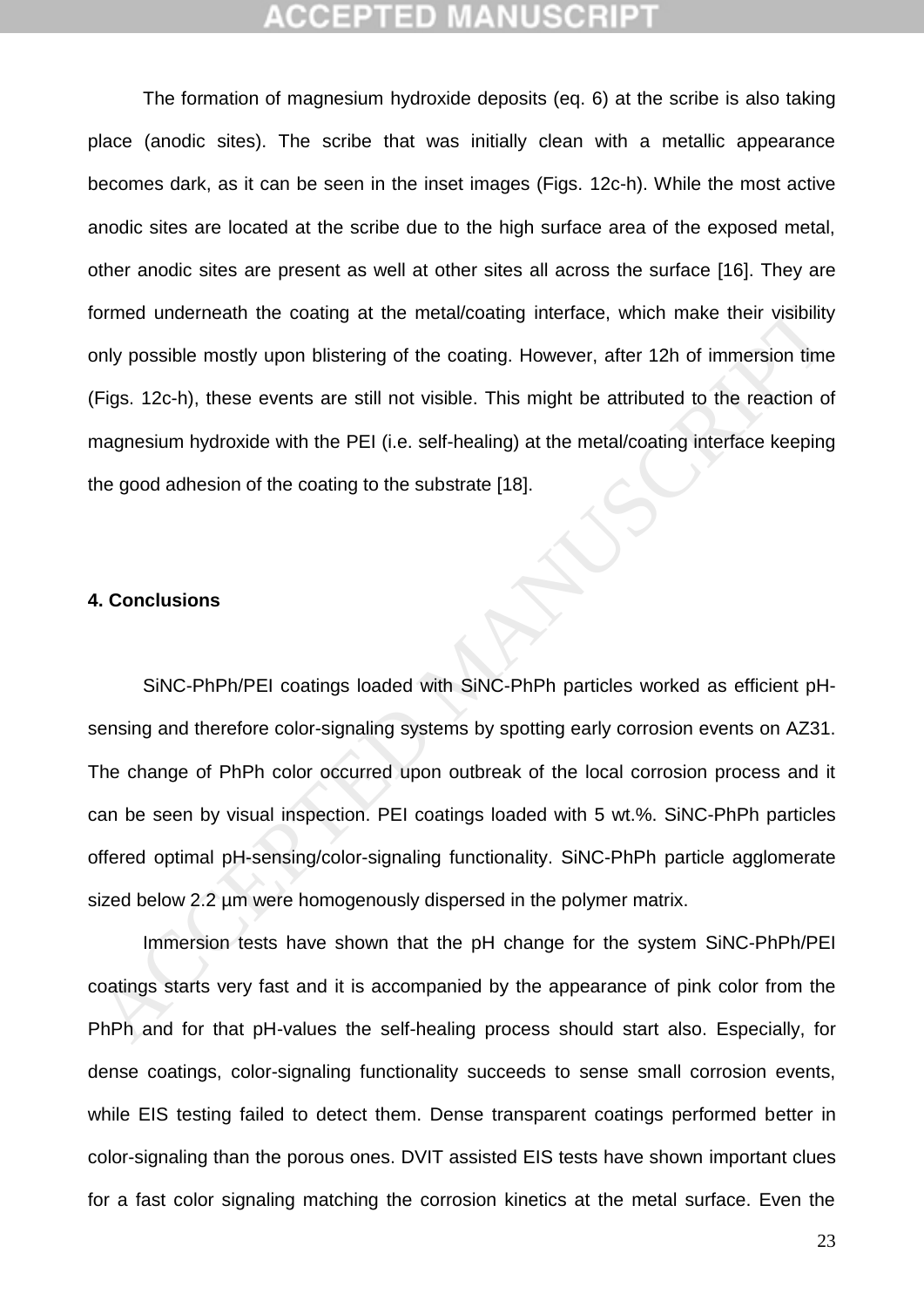The formation of magnesium hydroxide deposits (eq. 6) at the scribe is also taking place (anodic sites). The scribe that was initially clean with a metallic appearance becomes dark, as it can be seen in the inset images (Figs. 12c-h). While the most active anodic sites are located at the scribe due to the high surface area of the exposed metal, other anodic sites are present as well at other sites all across the surface [\[16\]](#page-25-9). They are formed underneath the coating at the metal/coating interface, which make their visibility only possible mostly upon blistering of the coating. However, after 12h of immersion time (Figs. 12c-h), these events are still not visible. This might be attributed to the reaction of magnesium hydroxide with the PEI (i.e. self-healing) at the metal/coating interface keeping the good adhesion of the coating to the substrate [18].

#### **4. Conclusions**

SiNC-PhPh/PEI coatings loaded with SiNC-PhPh particles worked as efficient pHsensing and therefore color-signaling systems by spotting early corrosion events on AZ31. The change of PhPh color occurred upon outbreak of the local corrosion process and it can be seen by visual inspection. PEI coatings loaded with 5 wt.%. SiNC-PhPh particles offered optimal pH-sensing/color-signaling functionality. SiNC-PhPh particle agglomerate sized below 2.2 um were homogenously dispersed in the polymer matrix. ormed underneath the coating at the metal/coating interface, which make their visibility<br>only possible mostly upon blistering of the coating. However, after 12h of immersion time<br>Figs. 12c-h), these events are still not vi

Immersion tests have shown that the pH change for the system SiNC-PhPh/PEI coatings starts very fast and it is accompanied by the appearance of pink color from the PhPh and for that pH-values the self-healing process should start also. Especially, for dense coatings, color-signaling functionality succeeds to sense small corrosion events, while EIS testing failed to detect them. Dense transparent coatings performed better in color-signaling than the porous ones. DVIT assisted EIS tests have shown important clues for a fast color signaling matching the corrosion kinetics at the metal surface. Even the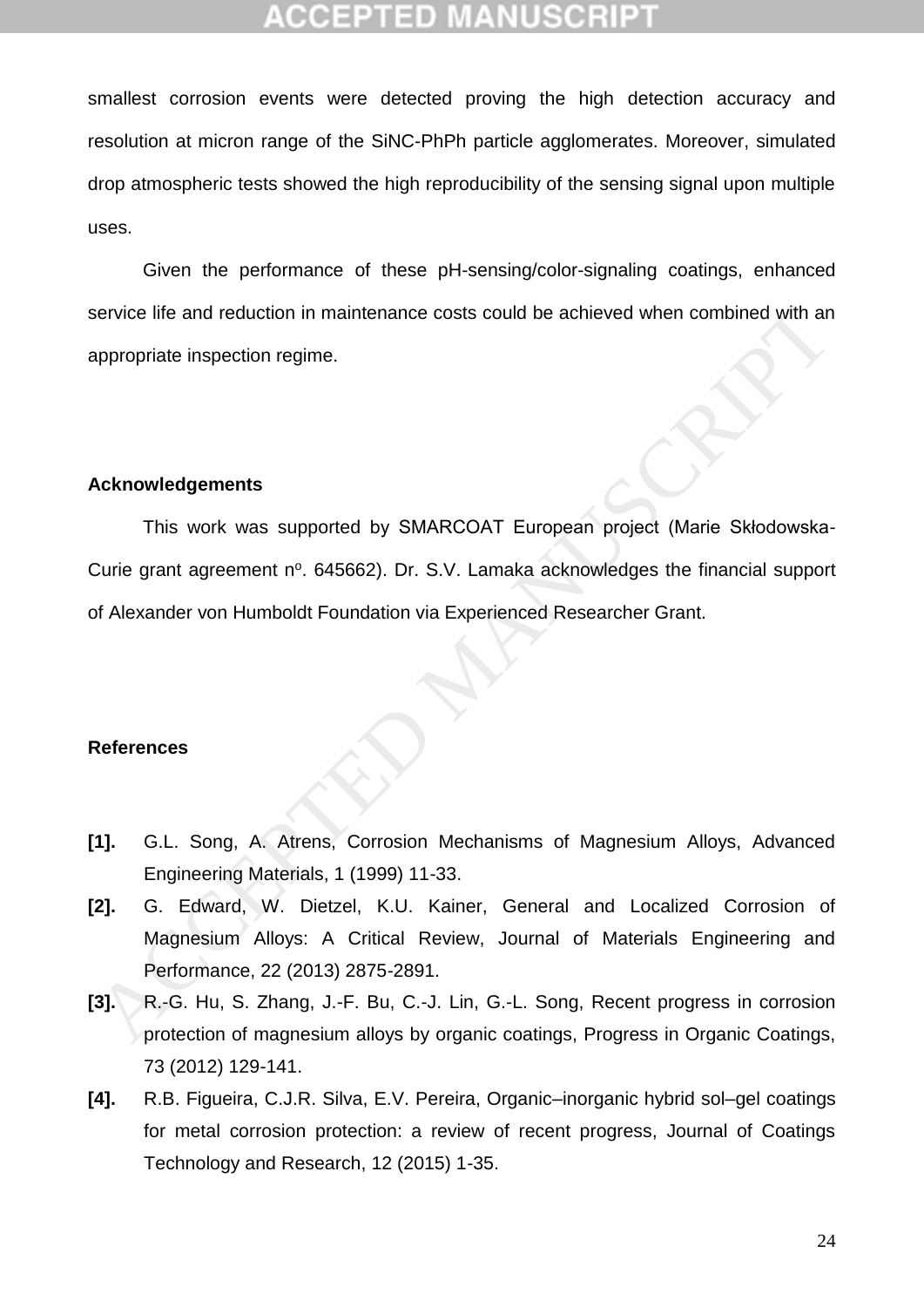## CCEPTED

smallest corrosion events were detected proving the high detection accuracy and resolution at micron range of the SiNC-PhPh particle agglomerates. Moreover, simulated drop atmospheric tests showed the high reproducibility of the sensing signal upon multiple uses.

Given the performance of these pH-sensing/color-signaling coatings, enhanced service life and reduction in maintenance costs could be achieved when combined with an appropriate inspection regime.

#### **Acknowledgements**

This work was supported by SMARCOAT European project (Marie Skłodowska-Curie grant agreement nº. 645662). Dr. S.V. Lamaka acknowledges the financial support of Alexander von Humboldt Foundation via Experienced Researcher Grant. vervice life and reduction in maintenance costs could be achieved when combined with an<br>appropriate inspection regime.<br>
This work was supported by SMARCOAT European project (Marie Skłodowska<br>
Curie grant agreement n°. 6456

#### **References**

- <span id="page-24-0"></span>**[1].** G.L. Song, A. Atrens, Corrosion Mechanisms of Magnesium Alloys, Advanced Engineering Materials, 1 (1999) 11-33.
- <span id="page-24-1"></span>**[2].** G. Edward, W. Dietzel, K.U. Kainer, General and Localized Corrosion of Magnesium Alloys: A Critical Review, Journal of Materials Engineering and Performance, 22 (2013) 2875-2891.
- <span id="page-24-2"></span>**[3].** R.-G. Hu, S. Zhang, J.-F. Bu, C.-J. Lin, G.-L. Song, Recent progress in corrosion protection of magnesium alloys by organic coatings, Progress in Organic Coatings, 73 (2012) 129-141.
- <span id="page-24-3"></span>**[4].** R.B. Figueira, C.J.R. Silva, E.V. Pereira, Organic–inorganic hybrid sol–gel coatings for metal corrosion protection: a review of recent progress, Journal of Coatings Technology and Research, 12 (2015) 1-35.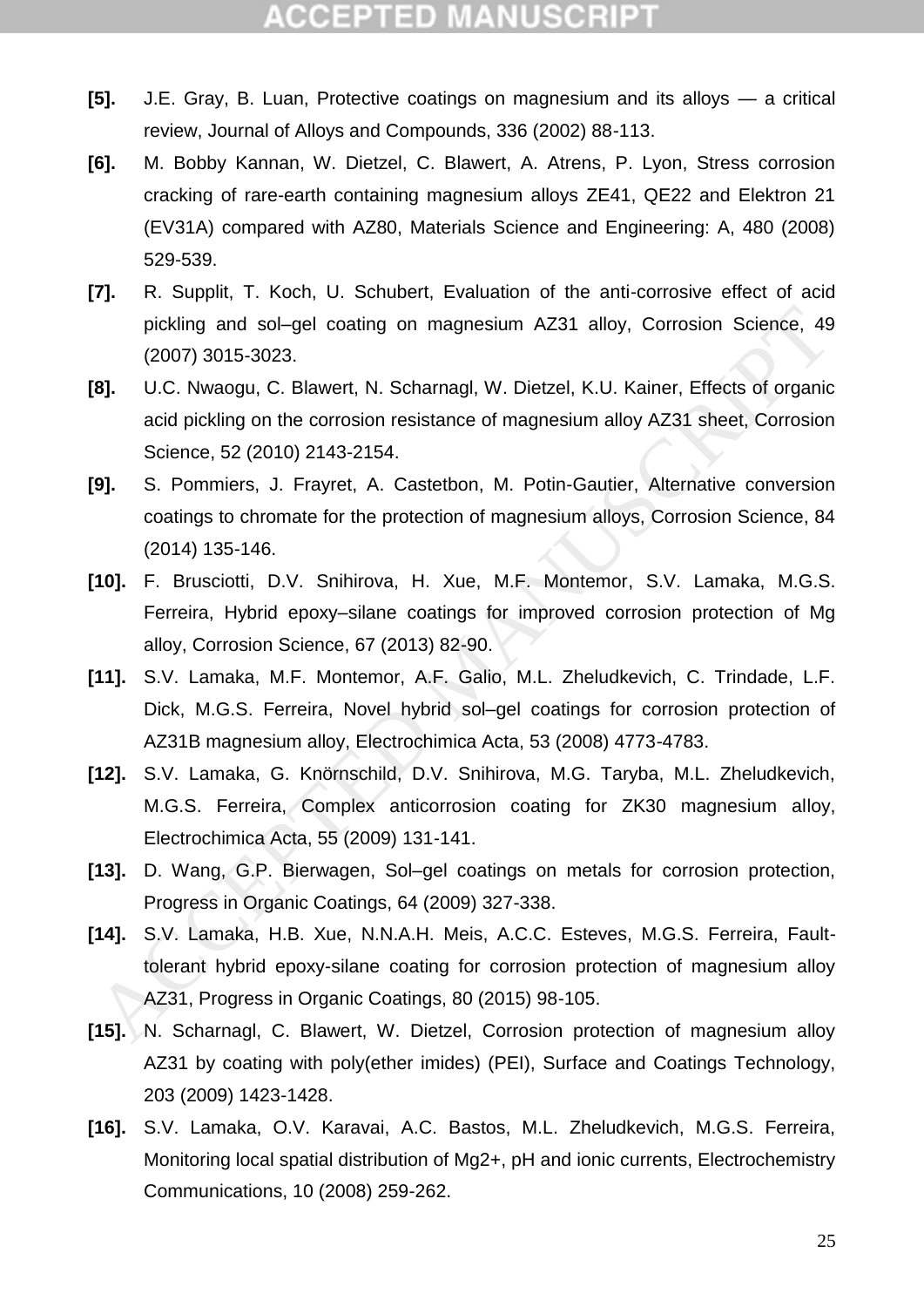- **[5].** J.E. Gray, B. Luan, Protective coatings on magnesium and its alloys a critical review, Journal of Alloys and Compounds, 336 (2002) 88-113.
- <span id="page-25-0"></span>**[6].** M. Bobby Kannan, W. Dietzel, C. Blawert, A. Atrens, P. Lyon, Stress corrosion cracking of rare-earth containing magnesium alloys ZE41, QE22 and Elektron 21 (EV31A) compared with AZ80, Materials Science and Engineering: A, 480 (2008) 529-539.
- <span id="page-25-1"></span>**[7].** R. Supplit, T. Koch, U. Schubert, Evaluation of the anti-corrosive effect of acid pickling and sol–gel coating on magnesium AZ31 alloy, Corrosion Science, 49 (2007) 3015-3023.
- <span id="page-25-2"></span>**[8].** U.C. Nwaogu, C. Blawert, N. Scharnagl, W. Dietzel, K.U. Kainer, Effects of organic acid pickling on the corrosion resistance of magnesium alloy AZ31 sheet, Corrosion Science, 52 (2010) 2143-2154.
- <span id="page-25-3"></span>**[9].** S. Pommiers, J. Frayret, A. Castetbon, M. Potin-Gautier, Alternative conversion coatings to chromate for the protection of magnesium alloys, Corrosion Science, 84 (2014) 135-146.
- <span id="page-25-4"></span>**[10].** F. Brusciotti, D.V. Snihirova, H. Xue, M.F. Montemor, S.V. Lamaka, M.G.S. Ferreira, Hybrid epoxy–silane coatings for improved corrosion protection of Mg alloy, Corrosion Science, 67 (2013) 82-90.
- **[11].** S.V. Lamaka, M.F. Montemor, A.F. Galio, M.L. Zheludkevich, C. Trindade, L.F. Dick, M.G.S. Ferreira, Novel hybrid sol–gel coatings for corrosion protection of AZ31B magnesium alloy, Electrochimica Acta, 53 (2008) 4773-4783.
- <span id="page-25-5"></span>**[12].** S.V. Lamaka, G. Knörnschild, D.V. Snihirova, M.G. Taryba, M.L. Zheludkevich, M.G.S. Ferreira, Complex anticorrosion coating for ZK30 magnesium alloy, Electrochimica Acta, 55 (2009) 131-141.
- <span id="page-25-7"></span><span id="page-25-6"></span>**[13].** D. Wang, G.P. Bierwagen, Sol–gel coatings on metals for corrosion protection, Progress in Organic Coatings, 64 (2009) 327-338.
- **[14].** S.V. Lamaka, H.B. Xue, N.N.A.H. Meis, A.C.C. Esteves, M.G.S. Ferreira, Faulttolerant hybrid epoxy-silane coating for corrosion protection of magnesium alloy AZ31, Progress in Organic Coatings, 80 (2015) 98-105. pickling and sol-gel coating on magnesium AZ31 alloy, Corrosion Science, 49<br>
(2007) 3015-3023.<br> **8J.** U.C. Nwaogu, C. Blawert, N. Schamagl, W. Dietzel, K.U. Kainer, Effects of organic<br>
aid pickling on the corrosion resista
- <span id="page-25-8"></span>**[15].** N. Scharnagl, C. Blawert, W. Dietzel, Corrosion protection of magnesium alloy AZ31 by coating with poly(ether imides) (PEI), Surface and Coatings Technology, 203 (2009) 1423-1428.
- <span id="page-25-9"></span>**[16].** S.V. Lamaka, O.V. Karavai, A.C. Bastos, M.L. Zheludkevich, M.G.S. Ferreira, Monitoring local spatial distribution of Mg2+, pH and ionic currents, Electrochemistry Communications, 10 (2008) 259-262.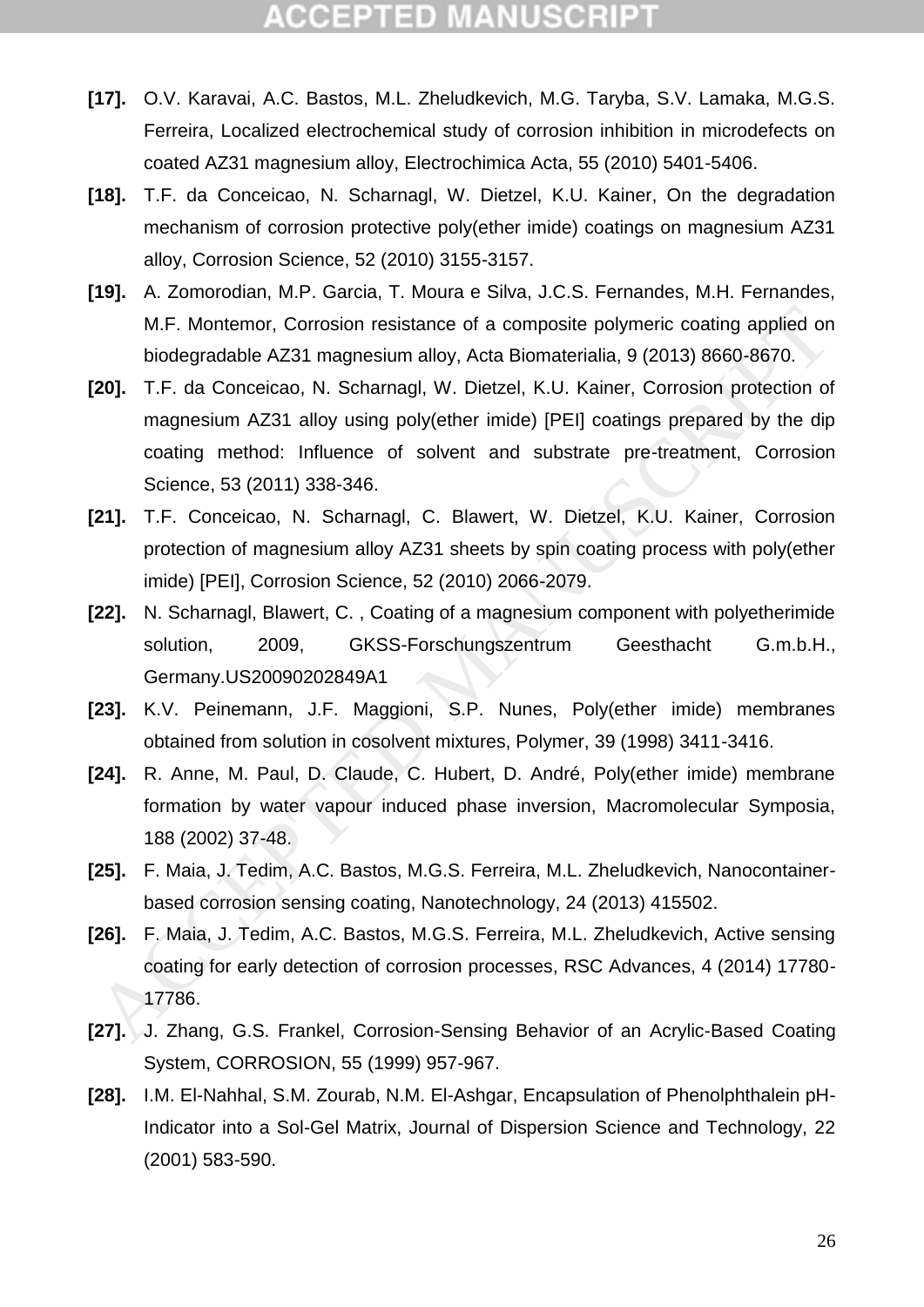- <span id="page-26-0"></span>**[17].** O.V. Karavai, A.C. Bastos, M.L. Zheludkevich, M.G. Taryba, S.V. Lamaka, M.G.S. Ferreira, Localized electrochemical study of corrosion inhibition in microdefects on coated AZ31 magnesium alloy, Electrochimica Acta, 55 (2010) 5401-5406.
- <span id="page-26-1"></span>**[18].** T.F. da Conceicao, N. Scharnagl, W. Dietzel, K.U. Kainer, On the degradation mechanism of corrosion protective poly(ether imide) coatings on magnesium AZ31 alloy, Corrosion Science, 52 (2010) 3155-3157.
- <span id="page-26-4"></span>**[19].** A. Zomorodian, M.P. Garcia, T. Moura e Silva, J.C.S. Fernandes, M.H. Fernandes, M.F. Montemor, Corrosion resistance of a composite polymeric coating applied on biodegradable AZ31 magnesium alloy, Acta Biomaterialia, 9 (2013) 8660-8670.
- <span id="page-26-5"></span>**[20].** T.F. da Conceicao, N. Scharnagl, W. Dietzel, K.U. Kainer, Corrosion protection of magnesium AZ31 alloy using poly(ether imide) [PEI] coatings prepared by the dip coating method: Influence of solvent and substrate pre-treatment, Corrosion Science, 53 (2011) 338-346. M.F. Montemor, Corrosion resistance of a composite polymeric coating applied or<br>biodegradable AZ31 magnesium alloy, Acta Biomaterialia, 9 (2013) 8660-8670.<br>
201. T.F. da Conceicao, N. Scharmagl, W. Dietzel, K.U. Kainer, Co
- **[21].** T.F. Conceicao, N. Scharnagl, C. Blawert, W. Dietzel, K.U. Kainer, Corrosion protection of magnesium alloy AZ31 sheets by spin coating process with poly(ether imide) [PEI], Corrosion Science, 52 (2010) 2066-2079.
- **[22].** N. Scharnagl, Blawert, C. , Coating of a magnesium component with polyetherimide solution, 2009, GKSS-Forschungszentrum Geesthacht G.m.b.H., Germany.US20090202849A1
- <span id="page-26-2"></span>**[23].** K.V. Peinemann, J.F. Maggioni, S.P. Nunes, Poly(ether imide) membranes obtained from solution in cosolvent mixtures, Polymer, 39 (1998) 3411-3416.
- <span id="page-26-3"></span>**[24].** R. Anne, M. Paul, D. Claude, C. Hubert, D. André, Poly(ether imide) membrane formation by water vapour induced phase inversion, Macromolecular Symposia, 188 (2002) 37-48.
- <span id="page-26-6"></span>**[25].** F. Maia, J. Tedim, A.C. Bastos, M.G.S. Ferreira, M.L. Zheludkevich, Nanocontainerbased corrosion sensing coating, Nanotechnology, 24 (2013) 415502.
- <span id="page-26-7"></span>**[26].** F. Maia, J. Tedim, A.C. Bastos, M.G.S. Ferreira, M.L. Zheludkevich, Active sensing coating for early detection of corrosion processes, RSC Advances, 4 (2014) 17780- 17786.
- **[27].** J. Zhang, G.S. Frankel, Corrosion-Sensing Behavior of an Acrylic-Based Coating System, CORROSION, 55 (1999) 957-967.
- **[28].** I.M. El-Nahhal, S.M. Zourab, N.M. El-Ashgar, Encapsulation of Phenolphthalein pH-Indicator into a Sol-Gel Matrix, Journal of Dispersion Science and Technology, 22 (2001) 583-590.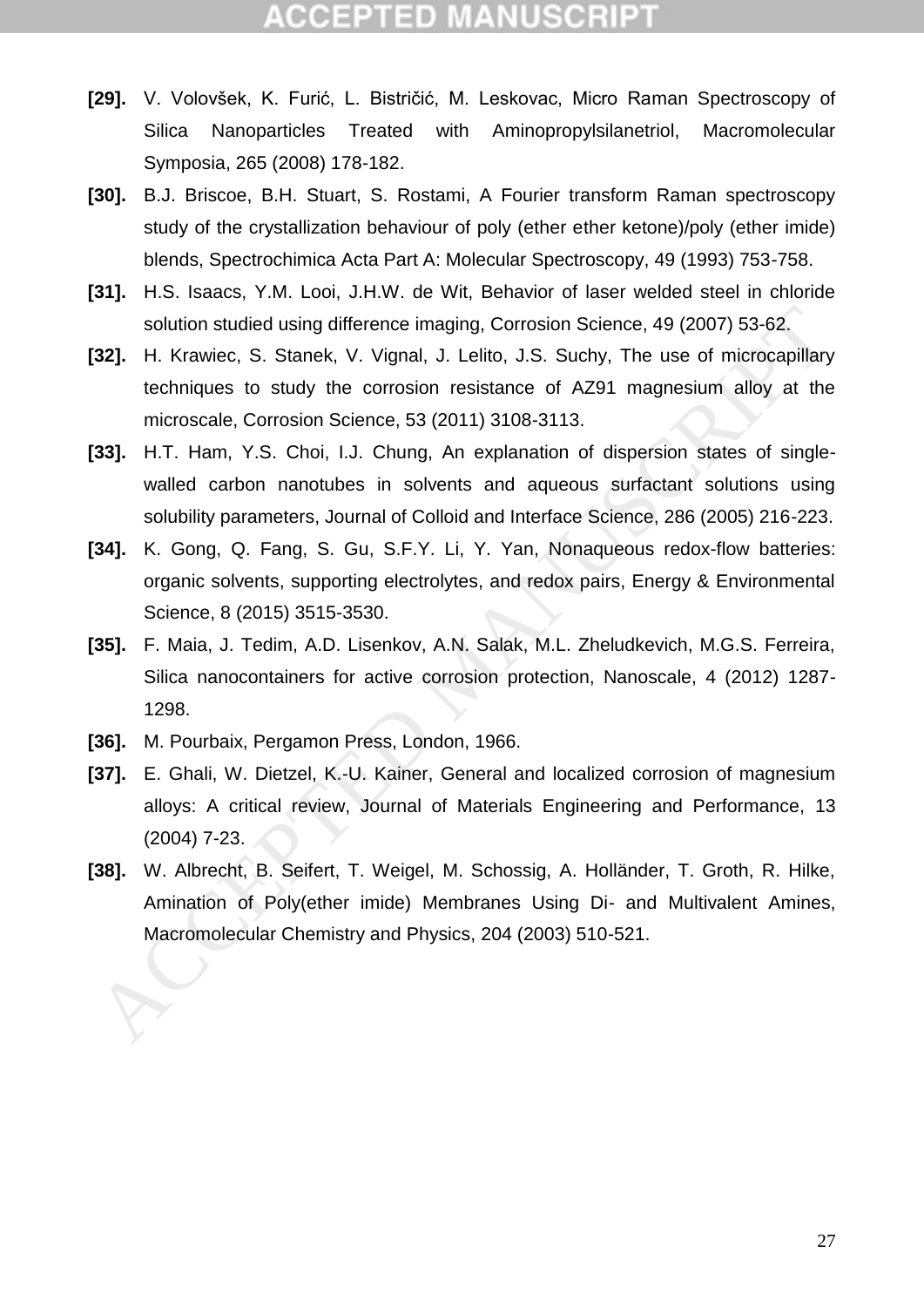- <span id="page-27-0"></span>**[29].** V. Volovšek, K. Furić, L. Bistričić, M. Leskovac, Micro Raman Spectroscopy of Silica Nanoparticles Treated with Aminopropylsilanetriol, Macromolecular Symposia, 265 (2008) 178-182.
- <span id="page-27-1"></span>**[30].** B.J. Briscoe, B.H. Stuart, S. Rostami, A Fourier transform Raman spectroscopy study of the crystallization behaviour of poly (ether ether ketone)/poly (ether imide) blends, Spectrochimica Acta Part A: Molecular Spectroscopy, 49 (1993) 753-758.
- <span id="page-27-2"></span>**[31].** H.S. Isaacs, Y.M. Looi, J.H.W. de Wit, Behavior of laser welded steel in chloride solution studied using difference imaging, Corrosion Science, 49 (2007) 53-62.
- <span id="page-27-4"></span><span id="page-27-3"></span>**[32].** H. Krawiec, S. Stanek, V. Vignal, J. Lelito, J.S. Suchy, The use of microcapillary techniques to study the corrosion resistance of AZ91 magnesium alloy at the microscale, Corrosion Science, 53 (2011) 3108-3113.
- **[33].** H.T. Ham, Y.S. Choi, I.J. Chung, An explanation of dispersion states of singlewalled carbon nanotubes in solvents and aqueous surfactant solutions using solubility parameters, Journal of Colloid and Interface Science, 286 (2005) 216-223. solution studied using difference imaging, Corrosion Science, 49 (2007) 53-62.<br>
32]. H. Krawiec, S. Stanek, V. Vignal, J. Lelitio, J.S. Suchy, The use of microcapillary<br>
techniques to study the corrosion resistance of A291
- <span id="page-27-5"></span>**[34].** K. Gong, Q. Fang, S. Gu, S.F.Y. Li, Y. Yan, Nonaqueous redox-flow batteries: organic solvents, supporting electrolytes, and redox pairs, Energy & Environmental Science, 8 (2015) 3515-3530.
- **[35].** F. Maia, J. Tedim, A.D. Lisenkov, A.N. Salak, M.L. Zheludkevich, M.G.S. Ferreira, Silica nanocontainers for active corrosion protection, Nanoscale, 4 (2012) 1287- 1298.
- <span id="page-27-6"></span>**[36].** M. Pourbaix, Pergamon Press, London, 1966.
- <span id="page-27-7"></span>**[37].** E. Ghali, W. Dietzel, K.-U. Kainer, General and localized corrosion of magnesium alloys: A critical review, Journal of Materials Engineering and Performance, 13 (2004) 7-23.
- <span id="page-27-8"></span>**[38].** W. Albrecht, B. Seifert, T. Weigel, M. Schossig, A. Holländer, T. Groth, R. Hilke, Amination of Poly(ether imide) Membranes Using Di- and Multivalent Amines,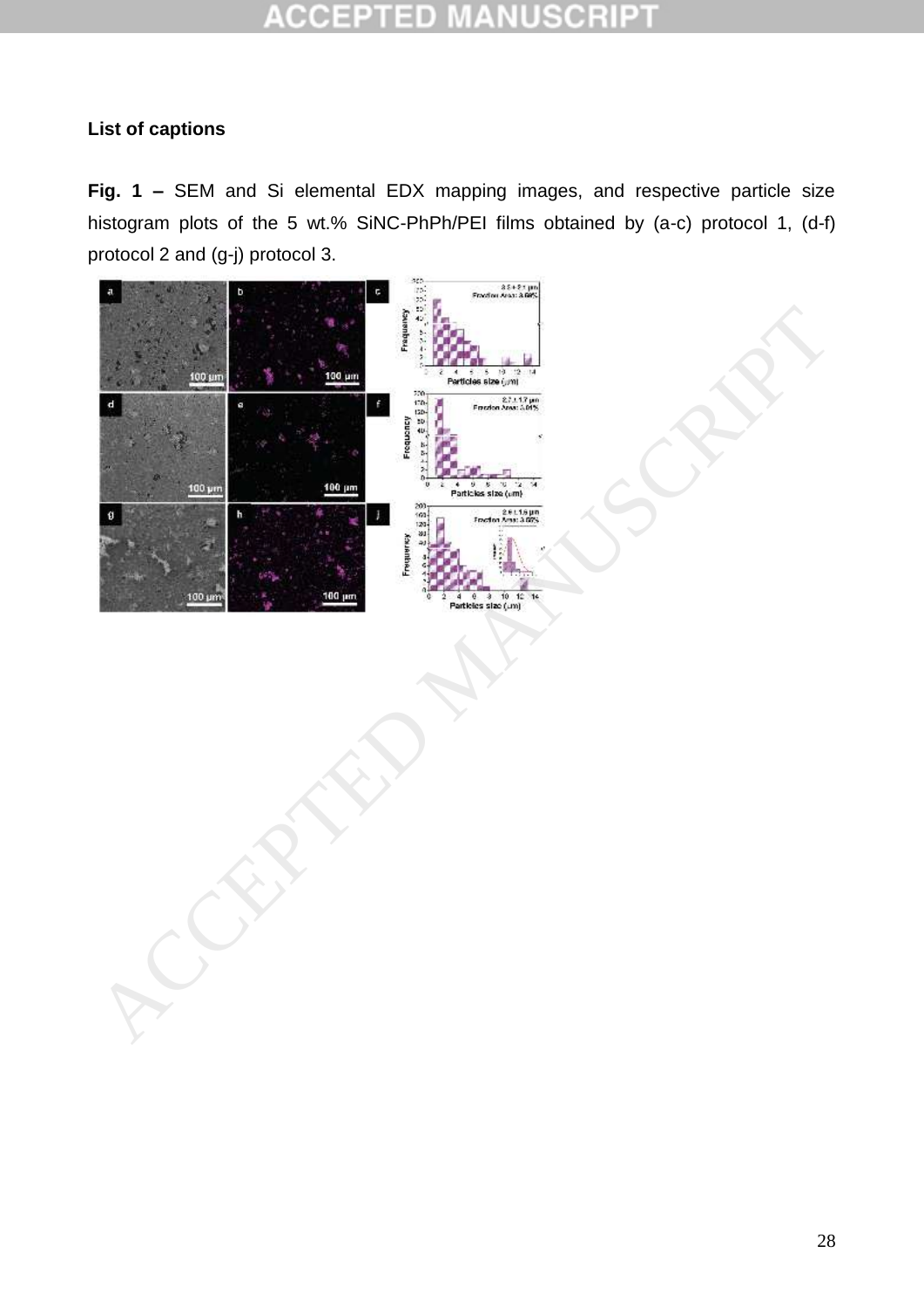#### CCE ID

#### **List of captions**

**Fig. 1 –** SEM and Si elemental EDX mapping images, and respective particle size histogram plots of the 5 wt.% SiNC-PhPh/PEI films obtained by (a-c) protocol 1, (d-f) protocol 2 and (g-j) protocol 3.

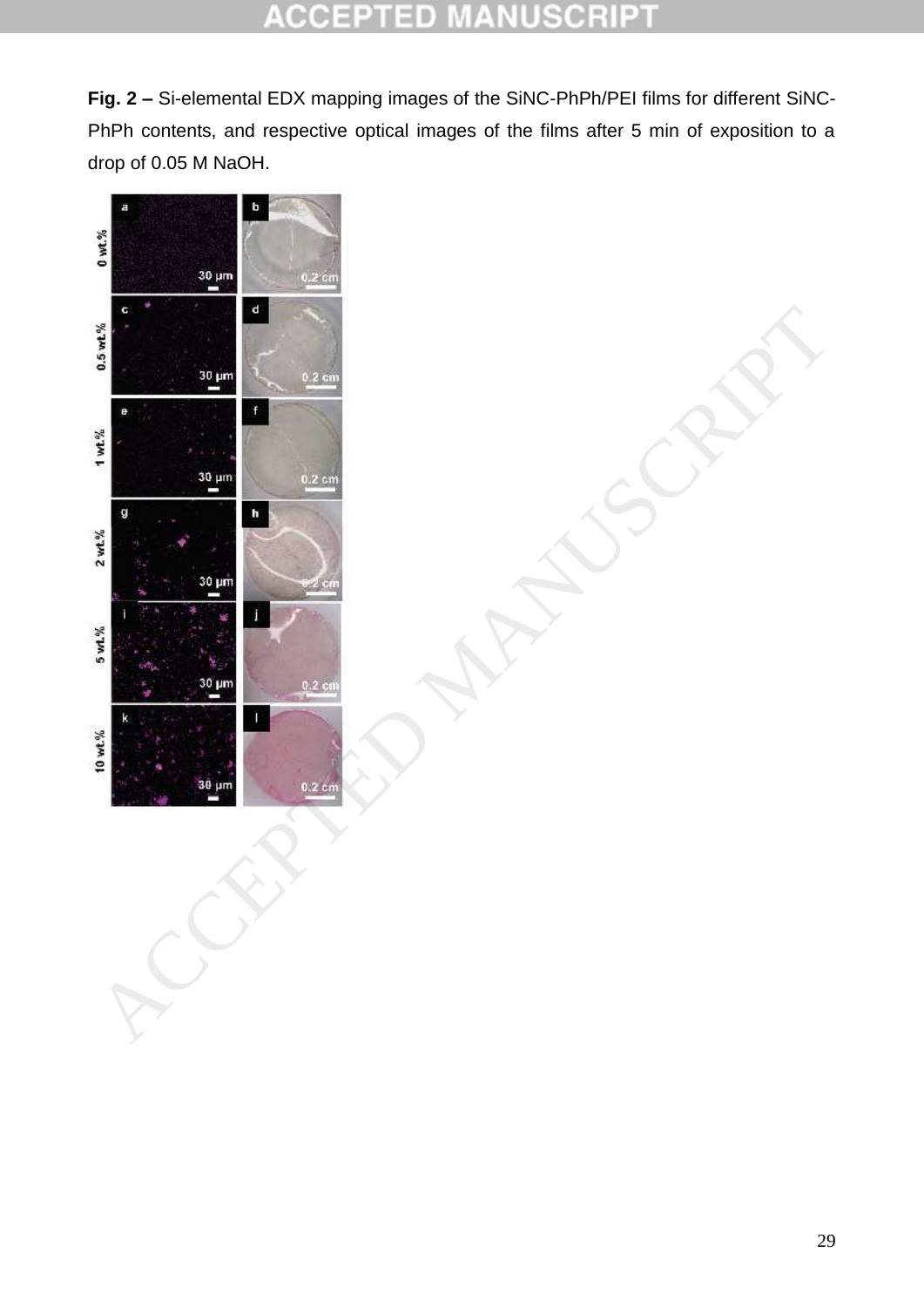#### $\overline{a}$ CCEI  $\blacksquare$ 10 C Ė U  $\pm$ h n

**Fig. 2 –** Si-elemental EDX mapping images of the SiNC-PhPh/PEI films for different SiNC-PhPh contents, and respective optical images of the films after 5 min of exposition to a drop of 0.05 M NaOH.

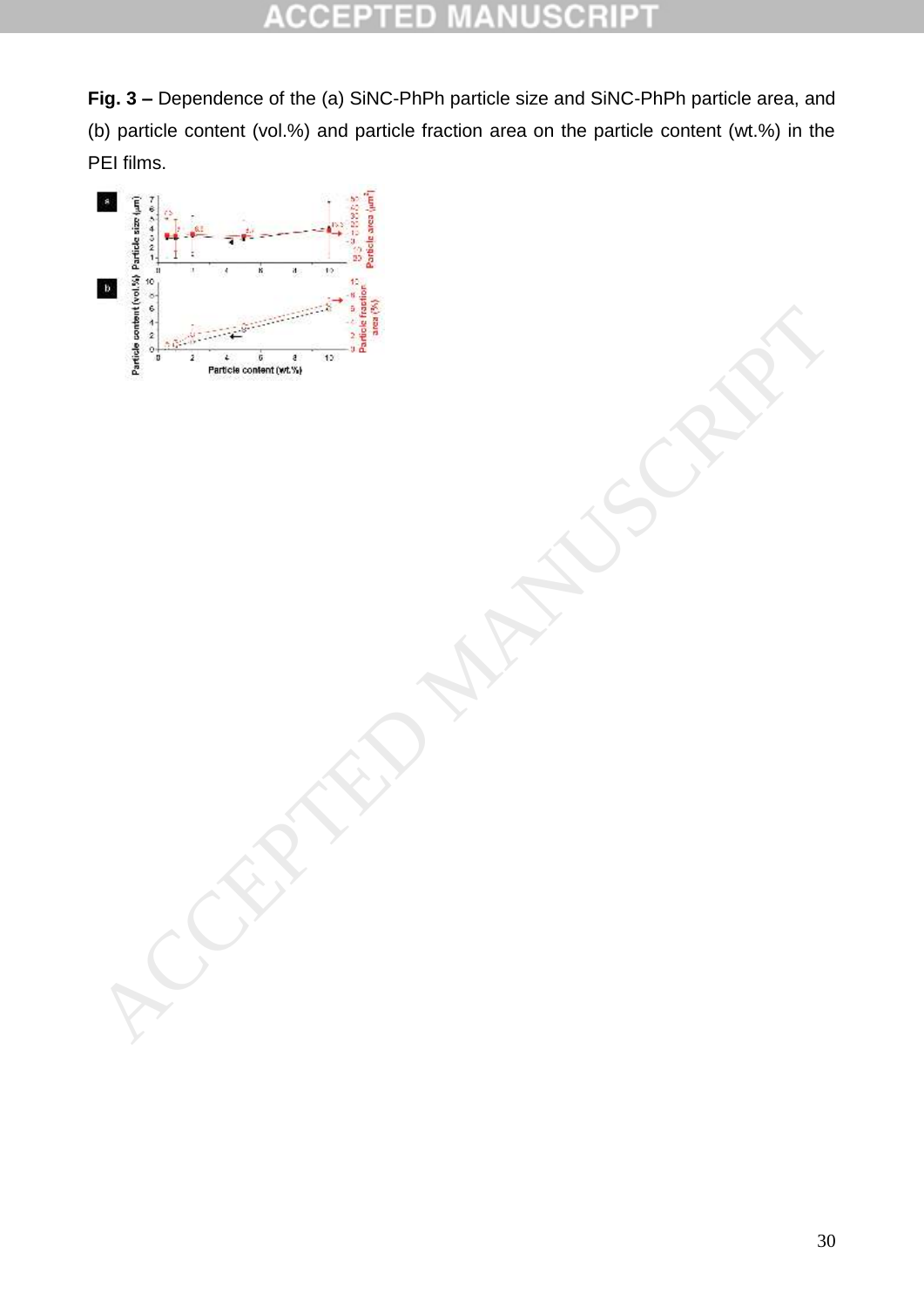**Fig. 3 –** Dependence of the (a) SiNC-PhPh particle size and SiNC-PhPh particle area, and (b) particle content (vol.%) and particle fraction area on the particle content (wt.%) in the PEI films.

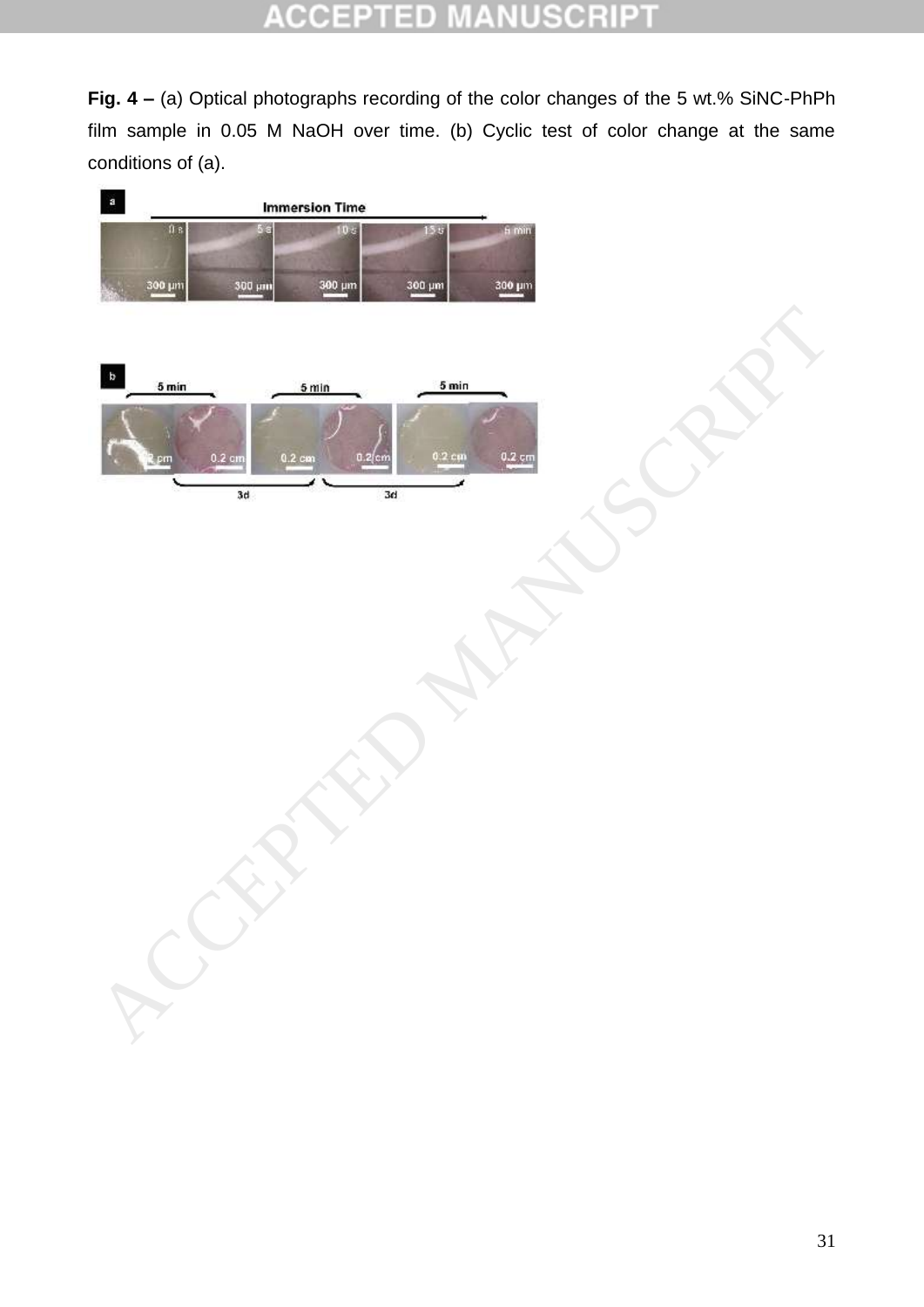#### ID CCE  $\pm$ o

**Fig. 4 –** (a) Optical photographs recording of the color changes of the 5 wt.% SiNC-PhPh film sample in 0.05 M NaOH over time. (b) Cyclic test of color change at the same conditions of (a).



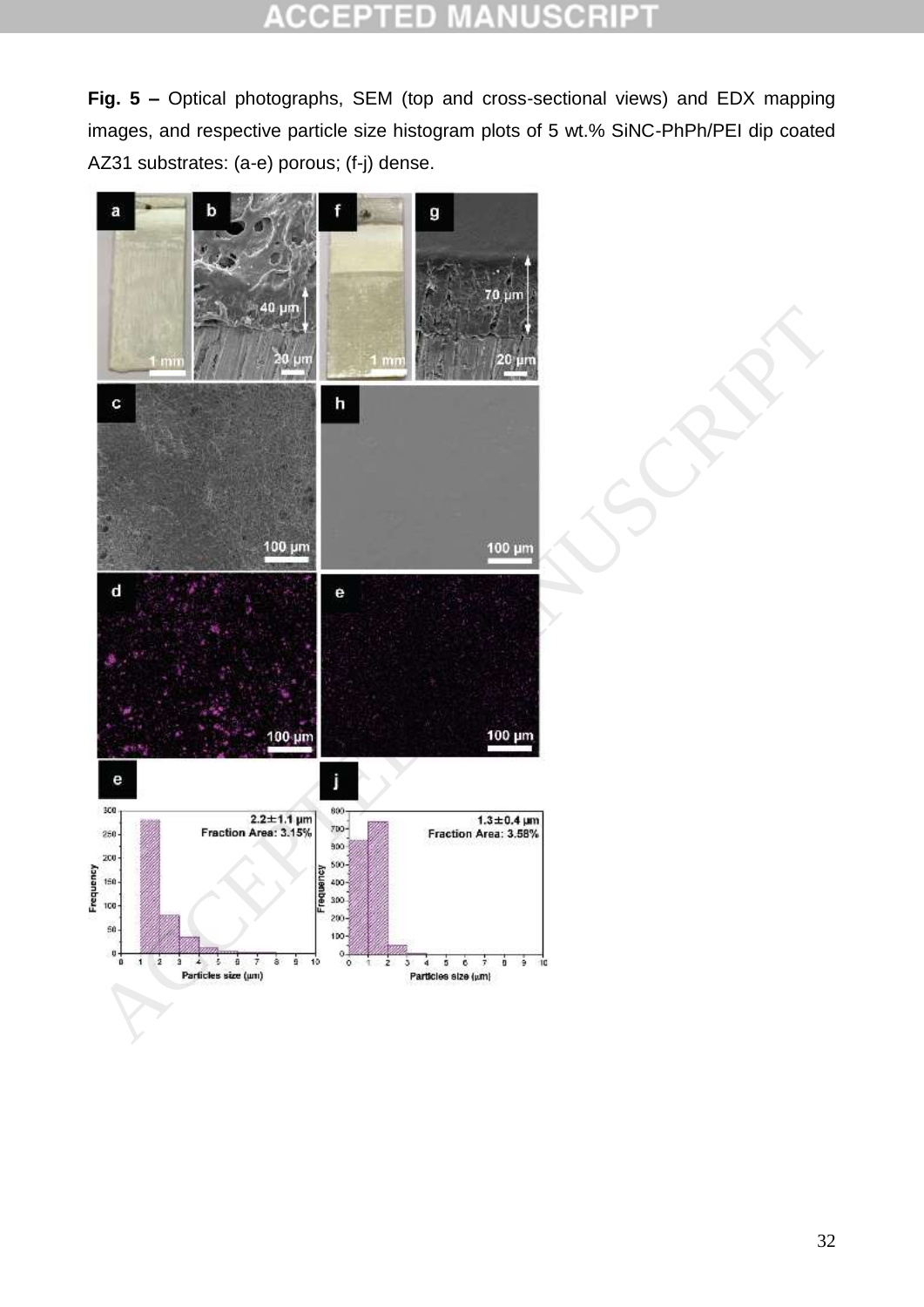#### ΞD CCEPT E C  $\pm$ u

**Fig. 5 –** Optical photographs, SEM (top and cross-sectional views) and EDX mapping images, and respective particle size histogram plots of 5 wt.% SiNC-PhPh/PEI dip coated AZ31 substrates: (a-e) porous; (f-j) dense.

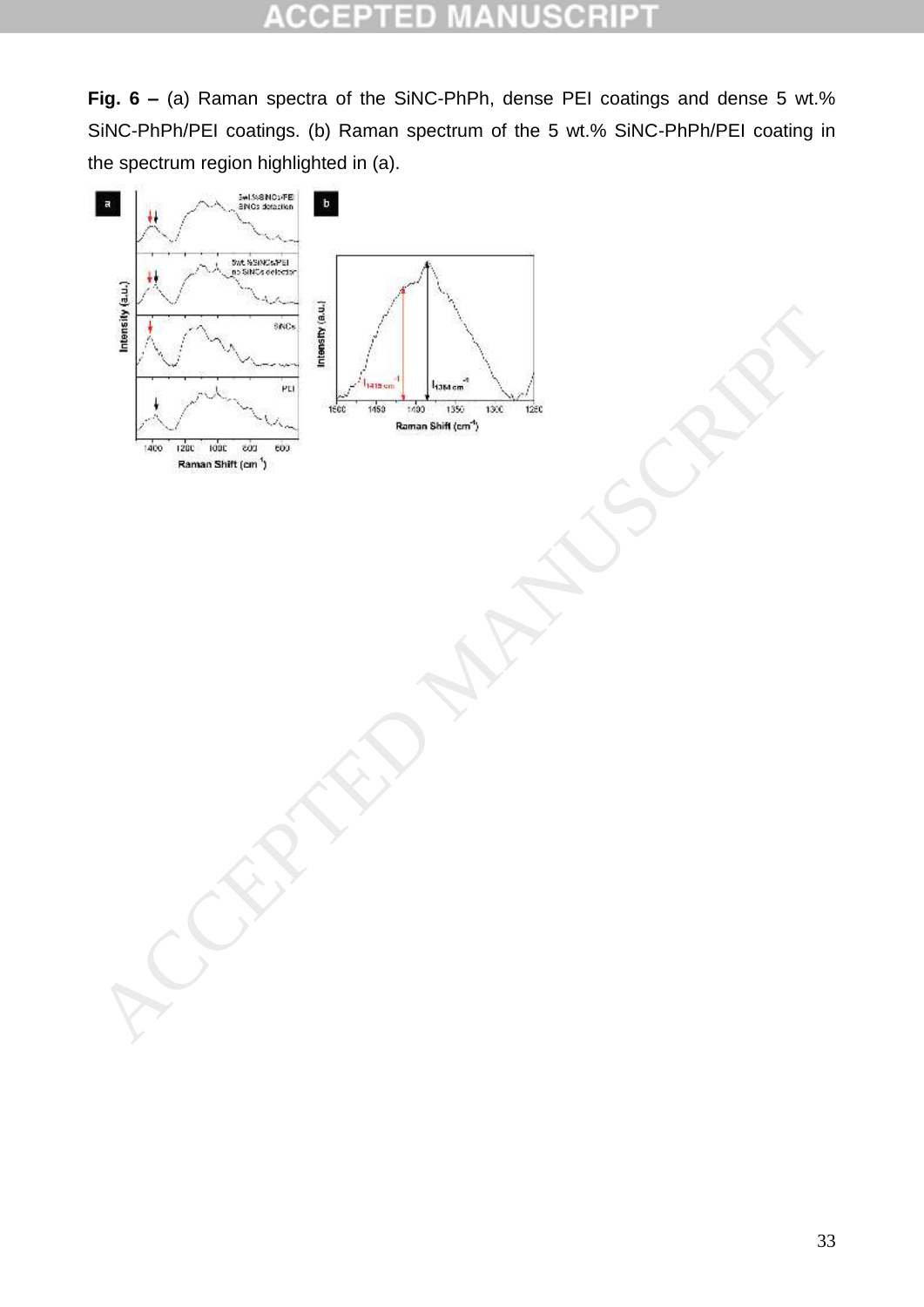#### CCEPT 3D C B P  $\pm$ U

**Fig. 6 –** (a) Raman spectra of the SiNC-PhPh, dense PEI coatings and dense 5 wt.% SiNC-PhPh/PEI coatings. (b) Raman spectrum of the 5 wt.% SiNC-PhPh/PEI coating in the spectrum region highlighted in (a).

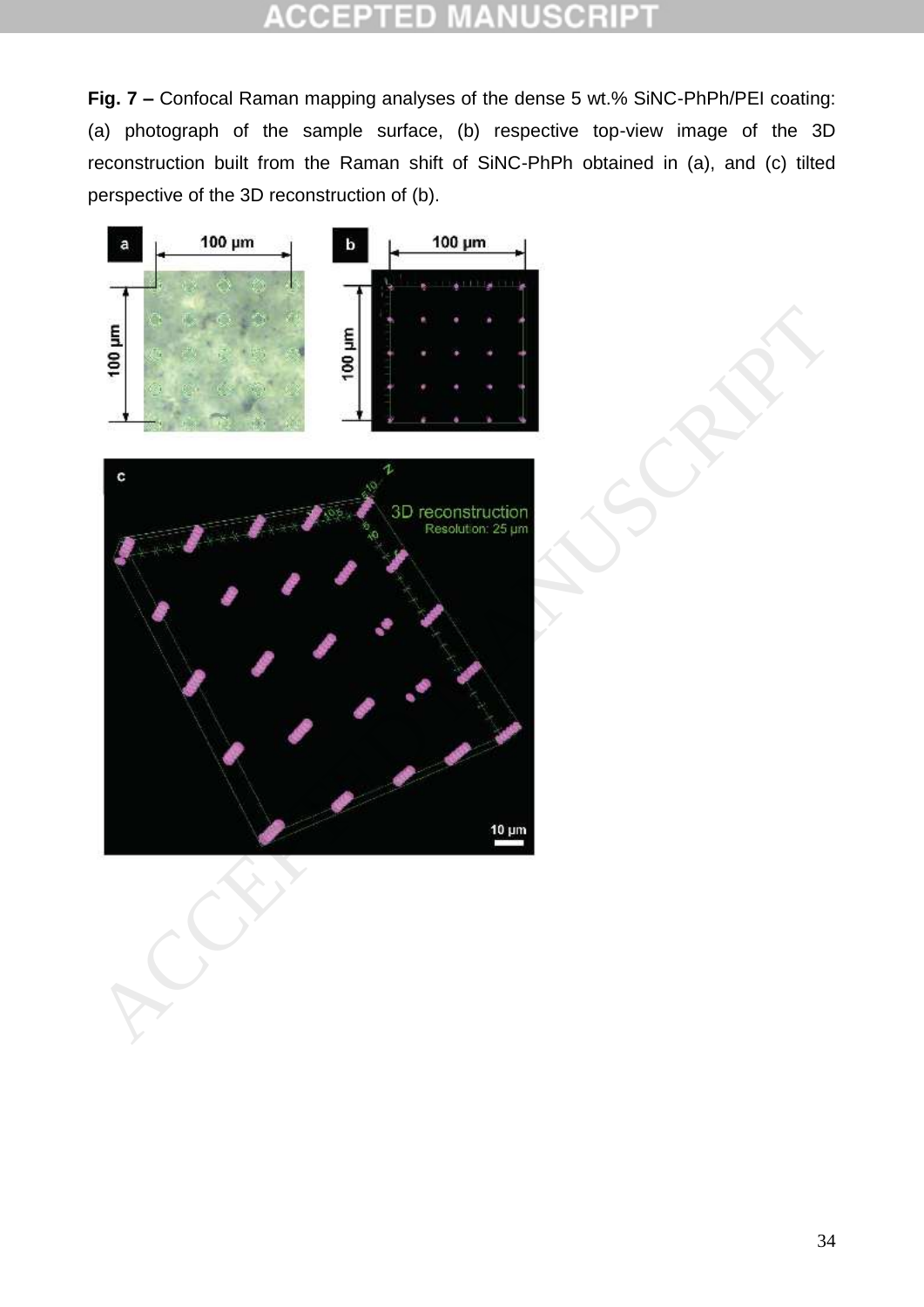#### sh n CCEP

**Fig. 7 –** Confocal Raman mapping analyses of the dense 5 wt.% SiNC-PhPh/PEI coating: (a) photograph of the sample surface, (b) respective top-view image of the 3D reconstruction built from the Raman shift of SiNC-PhPh obtained in (a), and (c) tilted perspective of the 3D reconstruction of (b).



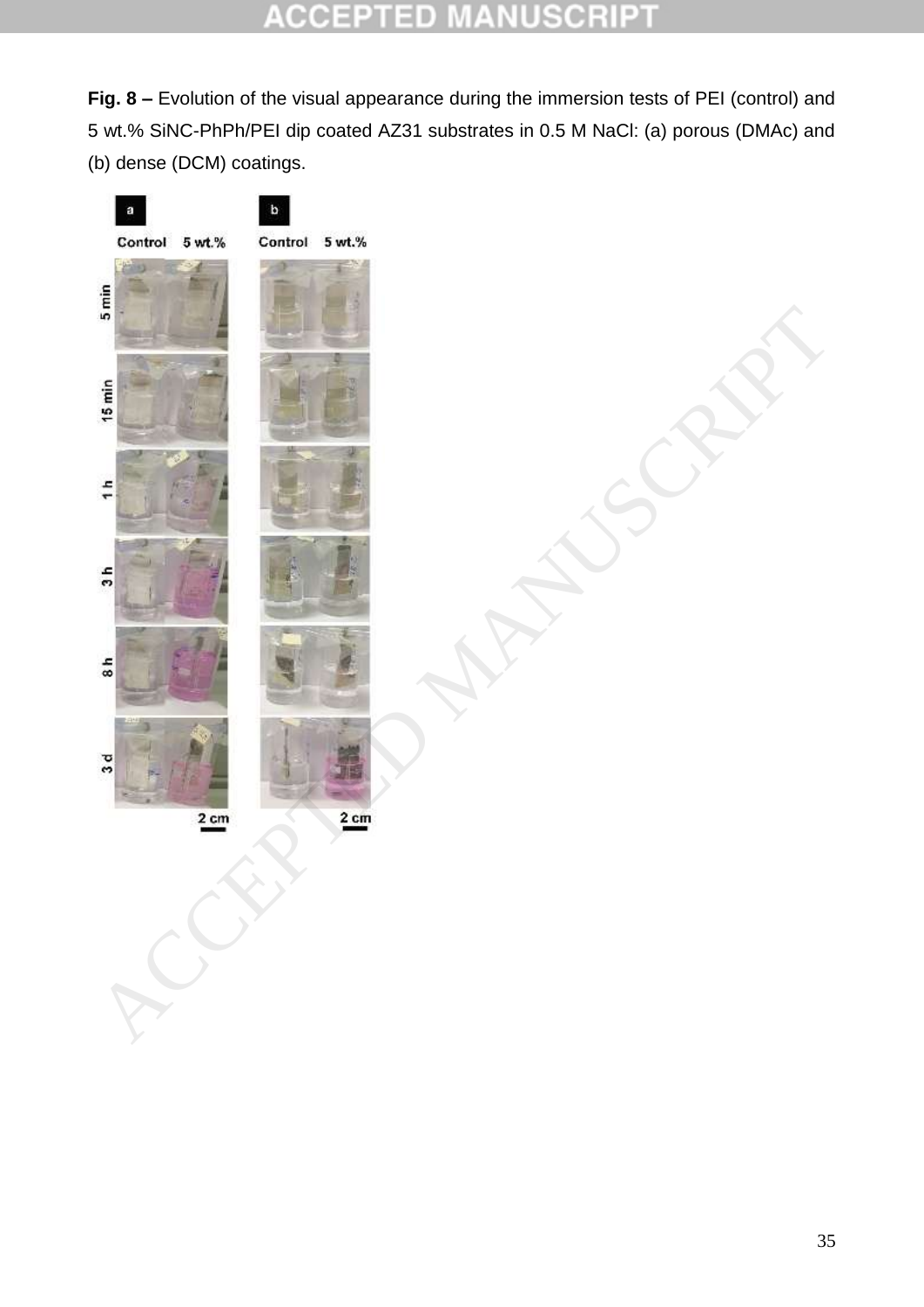#### **ACCEPT** ED SCRI P U ä

**Fig. 8 –** Evolution of the visual appearance during the immersion tests of PEI (control) and 5 wt.% SiNC-PhPh/PEI dip coated AZ31 substrates in 0.5 M NaCl: (a) porous (DMAc) and (b) dense (DCM) coatings.

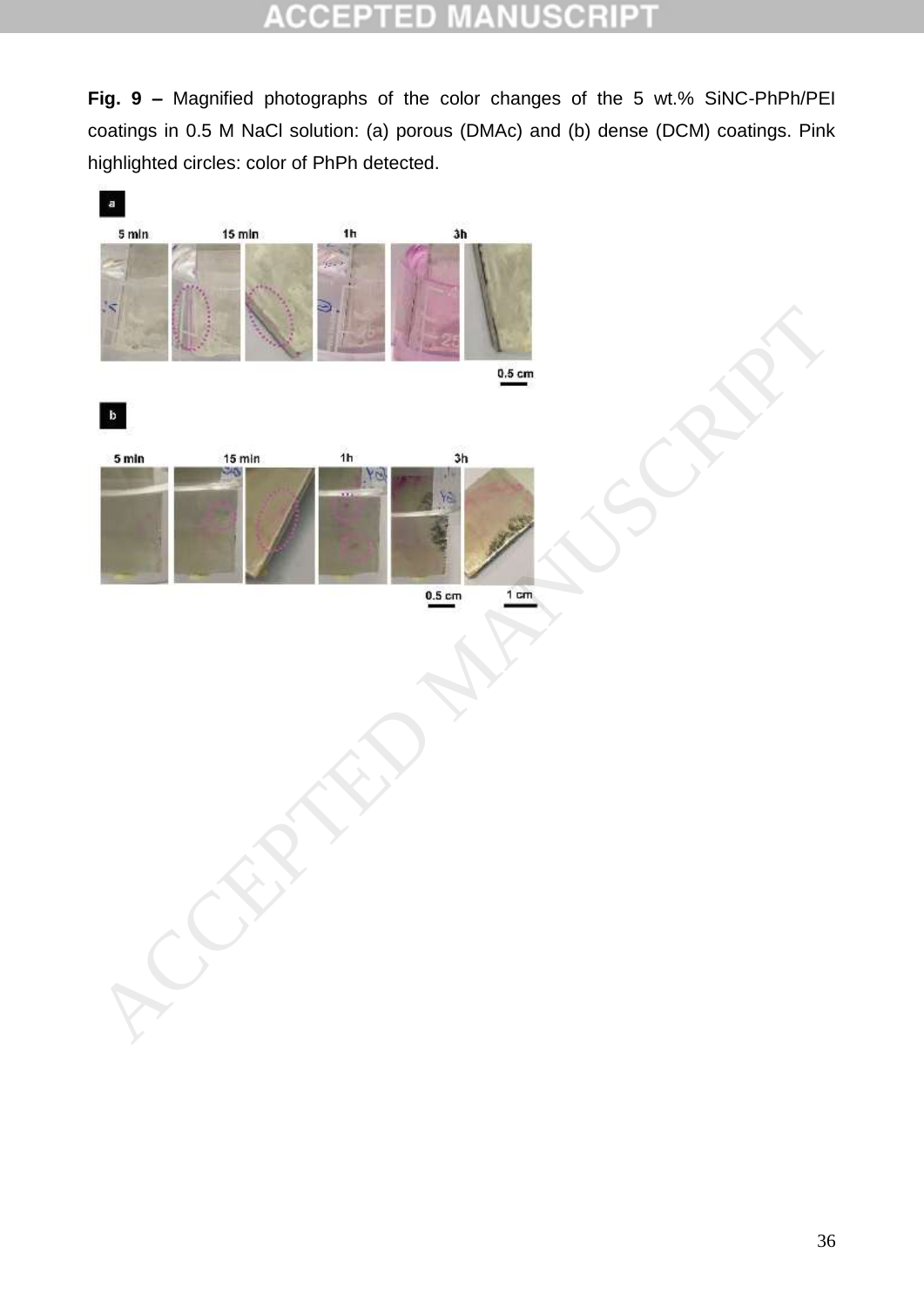#### CCEP 5H D  $\pm$ m o

**Fig. 9 –** Magnified photographs of the color changes of the 5 wt.% SiNC-PhPh/PEI coatings in 0.5 M NaCl solution: (a) porous (DMAc) and (b) dense (DCM) coatings. Pink highlighted circles: color of PhPh detected.

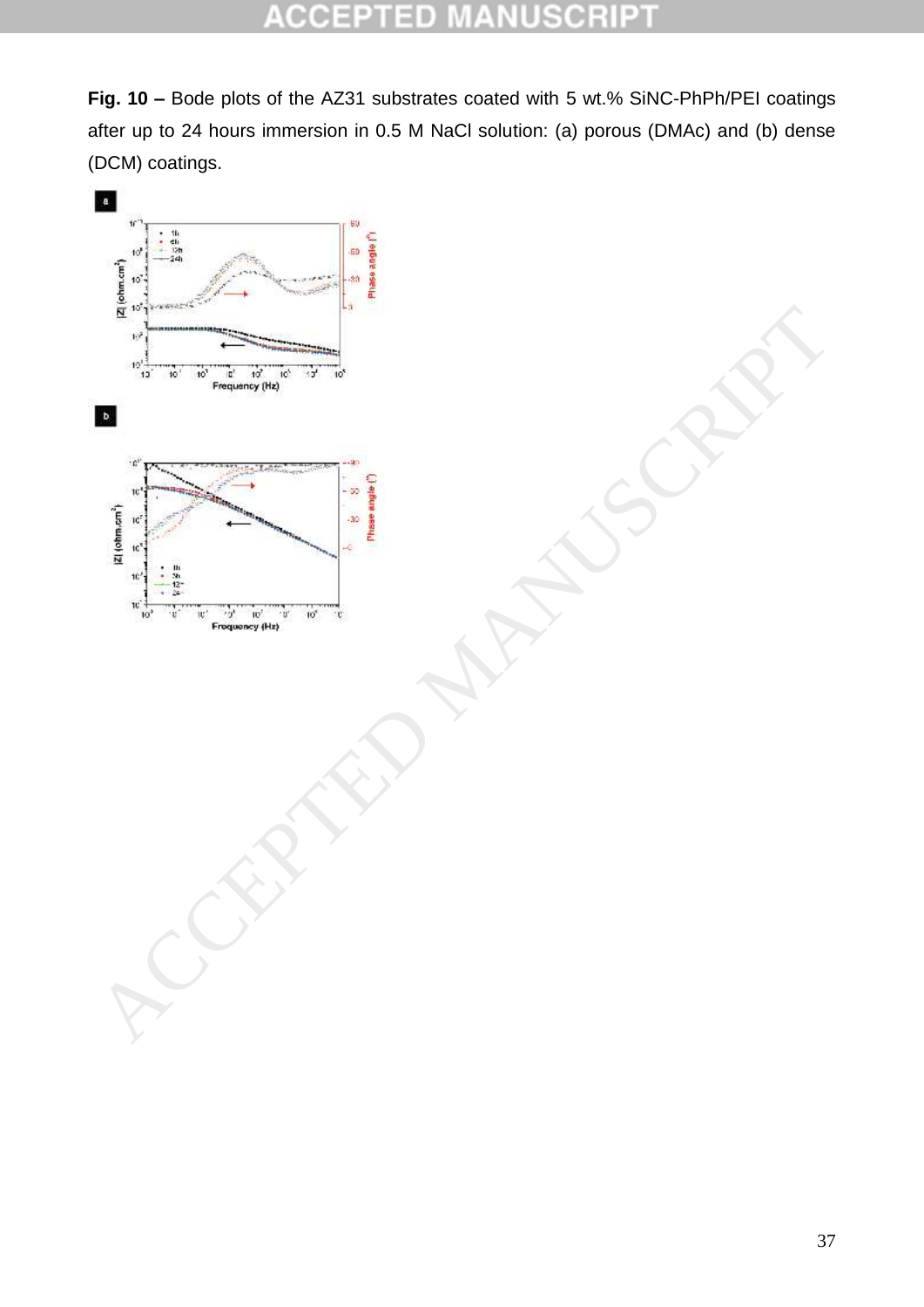#### **CCEPT** 5H D C Ė  $\mathbb{Z}_+$ B

**Fig. 10 –** Bode plots of the AZ31 substrates coated with 5 wt.% SiNC-PhPh/PEI coatings after up to 24 hours immersion in 0.5 M NaCl solution: (a) porous (DMAc) and (b) dense (DCM) coatings.

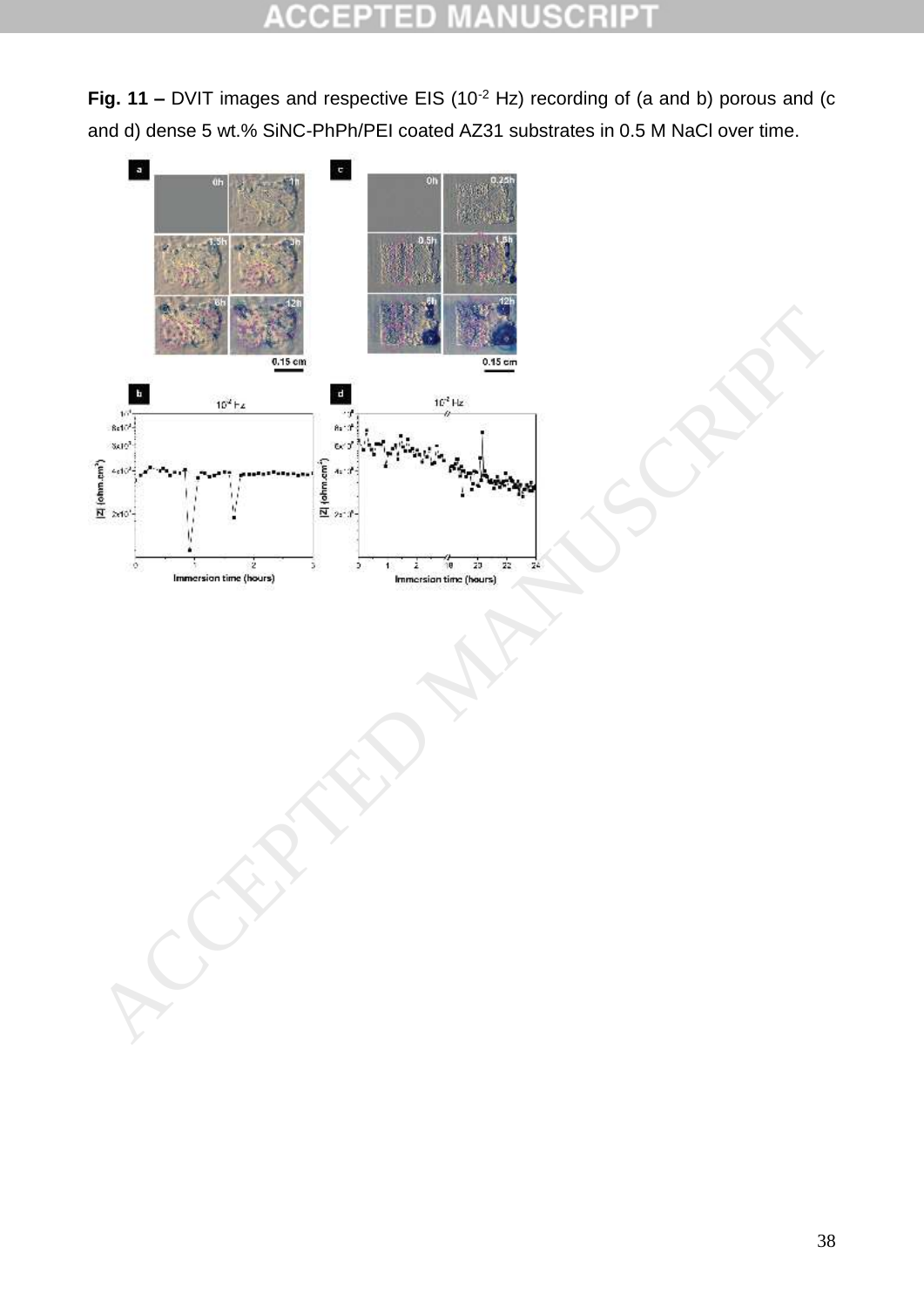**Fig. 11 –** DVIT images and respective EIS (10<sup>-2</sup> Hz) recording of (a and b) porous and (c and d) dense 5 wt.% SiNC-PhPh/PEI coated AZ31 substrates in 0.5 M NaCl over time.

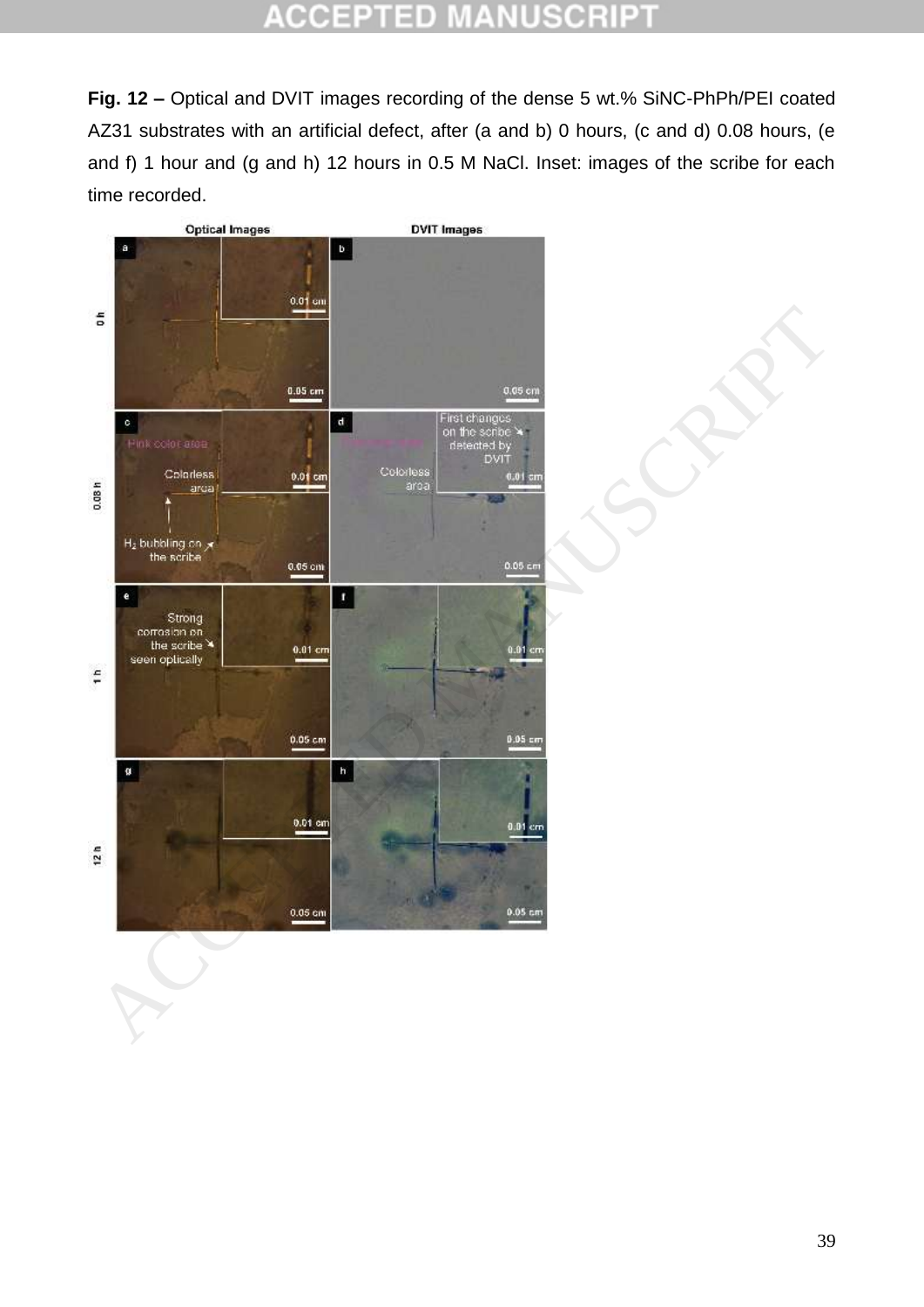#### **ACCEPTED** NТ. VUSCRI P) t,

**Fig. 12 –** Optical and DVIT images recording of the dense 5 wt.% SiNC-PhPh/PEI coated AZ31 substrates with an artificial defect, after (a and b) 0 hours, (c and d) 0.08 hours, (e and f) 1 hour and (g and h) 12 hours in 0.5 M NaCl. Inset: images of the scribe for each time recorded.